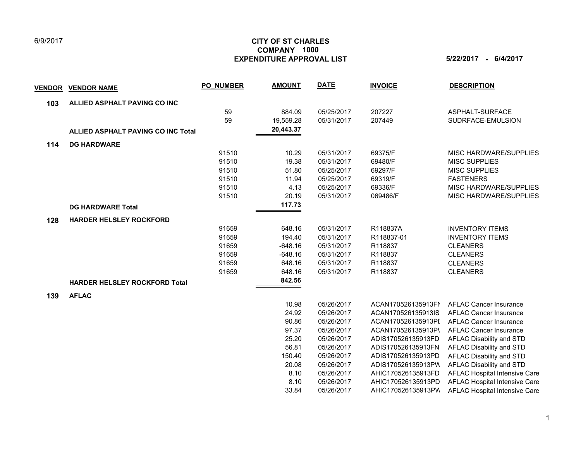## 6/9/2017

## **CITY OF ST CHARLES EXPENDITURE APPROVAL LIST 5/22/2017 - 6/4/2017 COMPANY 1000**

| <b>VENDOR</b> | <b>VENDOR NAME</b>                        | <b>PO NUMBER</b> | <b>AMOUNT</b> | <b>DATE</b> | <b>INVOICE</b>     | <b>DESCRIPTION</b>            |
|---------------|-------------------------------------------|------------------|---------------|-------------|--------------------|-------------------------------|
| 103           | ALLIED ASPHALT PAVING CO INC              |                  |               |             |                    |                               |
|               |                                           | 59               | 884.09        | 05/25/2017  | 207227             | ASPHALT-SURFACE               |
|               |                                           | 59               | 19,559.28     | 05/31/2017  | 207449             | SUDRFACE-EMULSION             |
|               | <b>ALLIED ASPHALT PAVING CO INC Total</b> |                  | 20,443.37     |             |                    |                               |
| 114           | <b>DG HARDWARE</b>                        |                  |               |             |                    |                               |
|               |                                           | 91510            | 10.29         | 05/31/2017  | 69375/F            | MISC HARDWARE/SUPPLIES        |
|               |                                           | 91510            | 19.38         | 05/31/2017  | 69480/F            | <b>MISC SUPPLIES</b>          |
|               |                                           | 91510            | 51.80         | 05/25/2017  | 69297/F            | <b>MISC SUPPLIES</b>          |
|               |                                           | 91510            | 11.94         | 05/25/2017  | 69319/F            | <b>FASTENERS</b>              |
|               |                                           | 91510            | 4.13          | 05/25/2017  | 69336/F            | MISC HARDWARE/SUPPLIES        |
|               |                                           | 91510            | 20.19         | 05/31/2017  | 069486/F           | MISC HARDWARE/SUPPLIES        |
|               | <b>DG HARDWARE Total</b>                  |                  | 117.73        |             |                    |                               |
| 128           | <b>HARDER HELSLEY ROCKFORD</b>            |                  |               |             |                    |                               |
|               |                                           | 91659            | 648.16        | 05/31/2017  | R118837A           | <b>INVENTORY ITEMS</b>        |
|               |                                           | 91659            | 194.40        | 05/31/2017  | R118837-01         | <b>INVENTORY ITEMS</b>        |
|               |                                           | 91659            | $-648.16$     | 05/31/2017  | R118837            | <b>CLEANERS</b>               |
|               |                                           | 91659            | $-648.16$     | 05/31/2017  | R118837            | <b>CLEANERS</b>               |
|               |                                           | 91659            | 648.16        | 05/31/2017  | R118837            | <b>CLEANERS</b>               |
|               |                                           | 91659            | 648.16        | 05/31/2017  | R118837            | <b>CLEANERS</b>               |
|               | <b>HARDER HELSLEY ROCKFORD Total</b>      |                  | 842.56        |             |                    |                               |
| 139           | <b>AFLAC</b>                              |                  |               |             |                    |                               |
|               |                                           |                  | 10.98         | 05/26/2017  | ACAN170526135913FM | <b>AFLAC Cancer Insurance</b> |
|               |                                           |                  | 24.92         | 05/26/2017  | ACAN170526135913IS | <b>AFLAC Cancer Insurance</b> |
|               |                                           |                  | 90.86         | 05/26/2017  | ACAN170526135913PI | <b>AFLAC Cancer Insurance</b> |
|               |                                           |                  | 97.37         | 05/26/2017  | ACAN170526135913P\ | <b>AFLAC Cancer Insurance</b> |
|               |                                           |                  | 25.20         | 05/26/2017  | ADIS170526135913FD | AFLAC Disability and STD      |
|               |                                           |                  | 56.81         | 05/26/2017  | ADIS170526135913FN | AFLAC Disability and STD      |
|               |                                           |                  | 150.40        | 05/26/2017  | ADIS170526135913PD | AFLAC Disability and STD      |
|               |                                           |                  | 20.08         | 05/26/2017  | ADIS170526135913PW | AFLAC Disability and STD      |
|               |                                           |                  | 8.10          | 05/26/2017  | AHIC170526135913FD | AFLAC Hospital Intensive Care |
|               |                                           |                  | 8.10          | 05/26/2017  | AHIC170526135913PD | AFLAC Hospital Intensive Care |
|               |                                           |                  | 33.84         | 05/26/2017  | AHIC170526135913PW | AFLAC Hospital Intensive Care |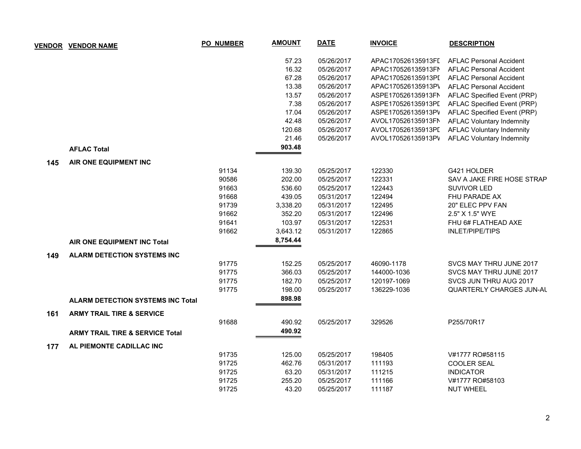|     | <b>VENDOR VENDOR NAME</b>                  | PO_NUMBER | <b>AMOUNT</b> | <b>DATE</b> | <b>INVOICE</b>     | <b>DESCRIPTION</b>               |
|-----|--------------------------------------------|-----------|---------------|-------------|--------------------|----------------------------------|
|     |                                            |           | 57.23         | 05/26/2017  | APAC170526135913FI | <b>AFLAC Personal Accident</b>   |
|     |                                            |           | 16.32         | 05/26/2017  | APAC170526135913FN | <b>AFLAC Personal Accident</b>   |
|     |                                            |           | 67.28         | 05/26/2017  | APAC170526135913PI | <b>AFLAC Personal Accident</b>   |
|     |                                            |           | 13.38         | 05/26/2017  | APAC170526135913P\ | <b>AFLAC Personal Accident</b>   |
|     |                                            |           | 13.57         | 05/26/2017  | ASPE170526135913FN | AFLAC Specified Event (PRP)      |
|     |                                            |           | 7.38          | 05/26/2017  | ASPE170526135913PI | AFLAC Specified Event (PRP)      |
|     |                                            |           | 17.04         | 05/26/2017  | ASPE170526135913PV | AFLAC Specified Event (PRP)      |
|     |                                            |           | 42.48         | 05/26/2017  | AVOL170526135913FN | <b>AFLAC Voluntary Indemnity</b> |
|     |                                            |           | 120.68        | 05/26/2017  | AVOL170526135913PI | <b>AFLAC Voluntary Indemnity</b> |
|     |                                            |           | 21.46         | 05/26/2017  | AVOL170526135913PV | <b>AFLAC Voluntary Indemnity</b> |
|     | <b>AFLAC Total</b>                         |           | 903.48        |             |                    |                                  |
|     | AIR ONE EQUIPMENT INC                      |           |               |             |                    |                                  |
| 145 |                                            | 91134     | 139.30        | 05/25/2017  | 122330             | G421 HOLDER                      |
|     |                                            | 90586     | 202.00        | 05/25/2017  | 122331             | SAV A JAKE FIRE HOSE STRAP       |
|     |                                            | 91663     | 536.60        | 05/25/2017  | 122443             | <b>SUVIVOR LED</b>               |
|     |                                            | 91668     | 439.05        | 05/31/2017  | 122494             | FHU PARADE AX                    |
|     |                                            | 91739     | 3,338.20      | 05/31/2017  | 122495             | 20" ELEC PPV FAN                 |
|     |                                            | 91662     | 352.20        | 05/31/2017  | 122496             | 2.5" X 1.5" WYE                  |
|     |                                            | 91641     | 103.97        | 05/31/2017  | 122531             | FHU 6# FLATHEAD AXE              |
|     |                                            | 91662     | 3,643.12      | 05/31/2017  | 122865             | <b>INLET/PIPE/TIPS</b>           |
|     | AIR ONE EQUIPMENT INC Total                |           | 8,754.44      |             |                    |                                  |
|     |                                            |           |               |             |                    |                                  |
| 149 | <b>ALARM DETECTION SYSTEMS INC</b>         |           |               |             |                    |                                  |
|     |                                            | 91775     | 152.25        | 05/25/2017  | 46090-1178         | SVCS MAY THRU JUNE 2017          |
|     |                                            | 91775     | 366.03        | 05/25/2017  | 144000-1036        | SVCS MAY THRU JUNE 2017          |
|     |                                            | 91775     | 182.70        | 05/25/2017  | 120197-1069        | SVCS JUN THRU AUG 2017           |
|     |                                            | 91775     | 198.00        | 05/25/2017  | 136229-1036        | QUARTERLY CHARGES JUN-AL         |
|     | <b>ALARM DETECTION SYSTEMS INC Total</b>   |           | 898.98        |             |                    |                                  |
| 161 | <b>ARMY TRAIL TIRE &amp; SERVICE</b>       |           |               |             |                    |                                  |
|     |                                            | 91688     | 490.92        | 05/25/2017  | 329526             | P255/70R17                       |
|     | <b>ARMY TRAIL TIRE &amp; SERVICE Total</b> |           | 490.92        |             |                    |                                  |
| 177 | AL PIEMONTE CADILLAC INC                   |           |               |             |                    |                                  |
|     |                                            | 91735     | 125.00        | 05/25/2017  | 198405             | V#1777 RO#58115                  |
|     |                                            | 91725     | 462.76        | 05/31/2017  | 111193             | <b>COOLER SEAL</b>               |
|     |                                            | 91725     | 63.20         | 05/31/2017  | 111215             | <b>INDICATOR</b>                 |
|     |                                            | 91725     | 255.20        | 05/25/2017  | 111166             | V#1777 RO#58103                  |
|     |                                            | 91725     | 43.20         | 05/25/2017  | 111187             | <b>NUT WHEEL</b>                 |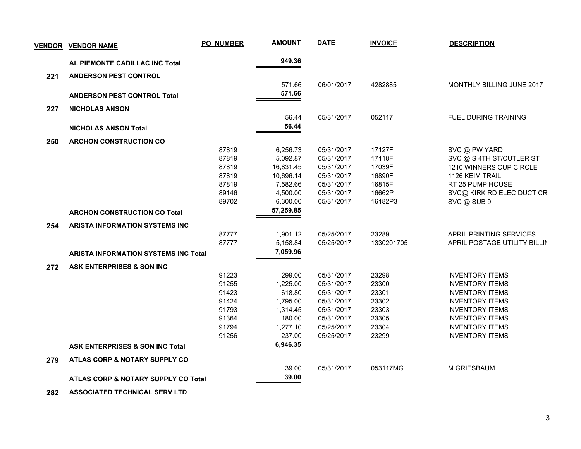|     | <b>VENDOR VENDOR NAME</b>                   | PO_NUMBER | <b>AMOUNT</b> | <b>DATE</b> | <b>INVOICE</b> | <b>DESCRIPTION</b>               |
|-----|---------------------------------------------|-----------|---------------|-------------|----------------|----------------------------------|
|     | AL PIEMONTE CADILLAC INC Total              |           | 949.36        |             |                |                                  |
| 221 | <b>ANDERSON PEST CONTROL</b>                |           |               |             |                |                                  |
|     |                                             |           | 571.66        | 06/01/2017  | 4282885        | <b>MONTHLY BILLING JUNE 2017</b> |
|     | <b>ANDERSON PEST CONTROL Total</b>          |           | 571.66        |             |                |                                  |
|     |                                             |           |               |             |                |                                  |
| 227 | <b>NICHOLAS ANSON</b>                       |           |               |             |                |                                  |
|     |                                             |           | 56.44         | 05/31/2017  | 052117         | <b>FUEL DURING TRAINING</b>      |
|     | <b>NICHOLAS ANSON Total</b>                 |           | 56.44         |             |                |                                  |
| 250 | <b>ARCHON CONSTRUCTION CO</b>               |           |               |             |                |                                  |
|     |                                             | 87819     | 6,256.73      | 05/31/2017  | 17127F         | SVC @ PW YARD                    |
|     |                                             | 87819     | 5,092.87      | 05/31/2017  | 17118F         | SVC @ S 4TH ST/CUTLER ST         |
|     |                                             | 87819     | 16,831.45     | 05/31/2017  | 17039F         | 1210 WINNERS CUP CIRCLE          |
|     |                                             | 87819     | 10,696.14     | 05/31/2017  | 16890F         | 1126 KEIM TRAIL                  |
|     |                                             | 87819     | 7,582.66      | 05/31/2017  | 16815F         | RT 25 PUMP HOUSE                 |
|     |                                             | 89146     | 4,500.00      | 05/31/2017  | 16662P         | SVC@ KIRK RD ELEC DUCT CR        |
|     |                                             | 89702     | 6,300.00      | 05/31/2017  | 16182P3        | SVC@SUB9                         |
|     | <b>ARCHON CONSTRUCTION CO Total</b>         |           | 57,259.85     |             |                |                                  |
| 254 | ARISTA INFORMATION SYSTEMS INC              |           |               |             |                |                                  |
|     |                                             | 87777     | 1,901.12      | 05/25/2017  | 23289          | APRIL PRINTING SERVICES          |
|     |                                             | 87777     | 5,158.84      | 05/25/2017  | 1330201705     | APRIL POSTAGE UTILITY BILLIN     |
|     | <b>ARISTA INFORMATION SYSTEMS INC Total</b> |           | 7,059.96      |             |                |                                  |
| 272 | ASK ENTERPRISES & SON INC                   |           |               |             |                |                                  |
|     |                                             | 91223     | 299.00        | 05/31/2017  | 23298          | <b>INVENTORY ITEMS</b>           |
|     |                                             | 91255     | 1,225.00      | 05/31/2017  | 23300          | <b>INVENTORY ITEMS</b>           |
|     |                                             | 91423     | 618.80        | 05/31/2017  | 23301          | <b>INVENTORY ITEMS</b>           |
|     |                                             | 91424     | 1,795.00      | 05/31/2017  | 23302          | <b>INVENTORY ITEMS</b>           |
|     |                                             | 91793     | 1,314.45      | 05/31/2017  | 23303          | <b>INVENTORY ITEMS</b>           |
|     |                                             | 91364     | 180.00        | 05/31/2017  | 23305          | <b>INVENTORY ITEMS</b>           |
|     |                                             | 91794     | 1,277.10      | 05/25/2017  | 23304          | <b>INVENTORY ITEMS</b>           |
|     |                                             | 91256     | 237.00        | 05/25/2017  | 23299          | <b>INVENTORY ITEMS</b>           |
|     | <b>ASK ENTERPRISES &amp; SON INC Total</b>  |           | 6,946.35      |             |                |                                  |
| 279 | ATLAS CORP & NOTARY SUPPLY CO               |           |               |             |                |                                  |
|     |                                             |           | 39.00         | 05/31/2017  | 053117MG       | M GRIESBAUM                      |
|     | ATLAS CORP & NOTARY SUPPLY CO Total         |           | 39.00         |             |                |                                  |
| 282 | <b>ASSOCIATED TECHNICAL SERV LTD</b>        |           |               |             |                |                                  |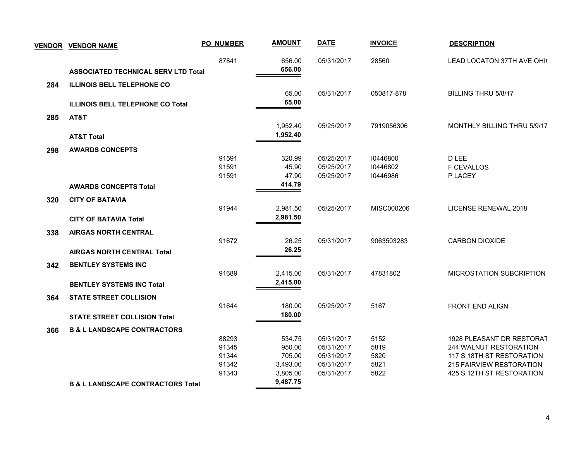|     | <b>VENDOR VENDOR NAME</b>                    | <b>PO_NUMBER</b>        | <b>AMOUNT</b>              | <b>DATE</b>                            | <b>INVOICE</b>       | <b>DESCRIPTION</b>                                                               |
|-----|----------------------------------------------|-------------------------|----------------------------|----------------------------------------|----------------------|----------------------------------------------------------------------------------|
|     | <b>ASSOCIATED TECHNICAL SERV LTD Total</b>   | 87841                   | 656.00<br>656.00           | 05/31/2017                             | 28560                | LEAD LOCATON 37TH AVE OHK                                                        |
| 284 | <b>ILLINOIS BELL TELEPHONE CO</b>            |                         | 65.00                      | 05/31/2017                             | 050817-878           | BILLING THRU 5/8/17                                                              |
|     | <b>ILLINOIS BELL TELEPHONE CO Total</b>      |                         | 65.00                      |                                        |                      |                                                                                  |
| 285 | AT&T                                         |                         | 1,952.40                   | 05/25/2017                             | 7919056306           | MONTHLY BILLING THRU 5/9/17                                                      |
|     | <b>AT&amp;T Total</b>                        |                         | 1,952.40                   |                                        |                      |                                                                                  |
| 298 | <b>AWARDS CONCEPTS</b>                       |                         |                            |                                        |                      |                                                                                  |
|     |                                              | 91591<br>91591          | 320.99<br>45.90            | 05/25/2017<br>05/25/2017               | 10446800<br>10446802 | D LEE<br><b>F CEVALLOS</b>                                                       |
|     |                                              | 91591                   | 47.90                      | 05/25/2017                             | 10446986             | P LACEY                                                                          |
|     | <b>AWARDS CONCEPTS Total</b>                 |                         | 414.79                     |                                        |                      |                                                                                  |
| 320 | <b>CITY OF BATAVIA</b>                       |                         |                            |                                        |                      |                                                                                  |
|     |                                              | 91944                   | 2,981.50<br>2,981.50       | 05/25/2017                             | MISC000206           | LICENSE RENEWAL 2018                                                             |
|     | <b>CITY OF BATAVIA Total</b>                 |                         |                            |                                        |                      |                                                                                  |
| 338 | <b>AIRGAS NORTH CENTRAL</b>                  | 91672                   | 26.25                      | 05/31/2017                             | 9063503283           | <b>CARBON DIOXIDE</b>                                                            |
|     | <b>AIRGAS NORTH CENTRAL Total</b>            |                         | 26.25                      |                                        |                      |                                                                                  |
| 342 | <b>BENTLEY SYSTEMS INC</b>                   |                         |                            |                                        |                      |                                                                                  |
|     |                                              | 91689                   | 2,415.00                   | 05/31/2017                             | 47831802             | <b>MICROSTATION SUBCRIPTION</b>                                                  |
|     | <b>BENTLEY SYSTEMS INC Total</b>             |                         | 2,415.00                   |                                        |                      |                                                                                  |
| 364 | <b>STATE STREET COLLISION</b>                |                         |                            |                                        |                      |                                                                                  |
|     | <b>STATE STREET COLLISION Total</b>          | 91644                   | 180.00<br>180.00           | 05/25/2017                             | 5167                 | FRONT END ALIGN                                                                  |
| 366 | <b>B &amp; L LANDSCAPE CONTRACTORS</b>       |                         |                            |                                        |                      |                                                                                  |
|     |                                              | 88293<br>91345<br>91344 | 534.75<br>950.00<br>705.00 | 05/31/2017<br>05/31/2017<br>05/31/2017 | 5152<br>5819<br>5820 | 1928 PLEASANT DR RESTORAT<br>244 WALNUT RESTORATION<br>117 S 18TH ST RESTORATION |
|     |                                              | 91342                   | 3,493.00                   | 05/31/2017                             | 5821                 | 215 FAIRVIEW RESTORATION                                                         |
|     |                                              | 91343                   | 3,805.00                   | 05/31/2017                             | 5822                 | 425 S 12TH ST RESTORATION                                                        |
|     | <b>B &amp; L LANDSCAPE CONTRACTORS Total</b> |                         | 9,487.75                   |                                        |                      |                                                                                  |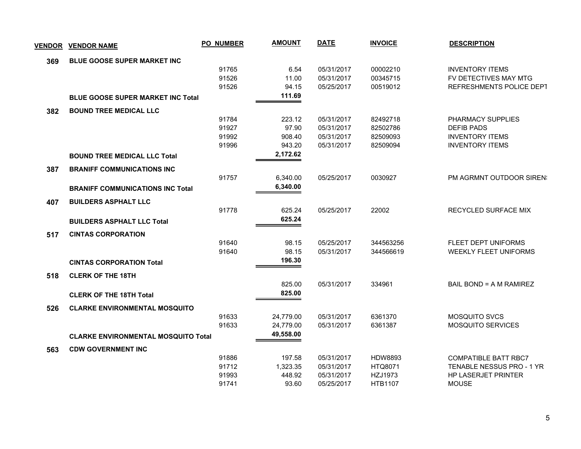| <u>VENDOR</u> | <b>VENDOR NAME</b>                         | <b>PO_NUMBER</b> | <b>AMOUNT</b> | <b>DATE</b> | <b>INVOICE</b> | <b>DESCRIPTION</b>           |
|---------------|--------------------------------------------|------------------|---------------|-------------|----------------|------------------------------|
| 369           | BLUE GOOSE SUPER MARKET INC                |                  |               |             |                |                              |
|               |                                            | 91765            | 6.54          | 05/31/2017  | 00002210       | <b>INVENTORY ITEMS</b>       |
|               |                                            | 91526            | 11.00         | 05/31/2017  | 00345715       | FV DETECTIVES MAY MTG        |
|               |                                            | 91526            | 94.15         | 05/25/2017  | 00519012       | REFRESHMENTS POLICE DEPT     |
|               | <b>BLUE GOOSE SUPER MARKET INC Total</b>   |                  | 111.69        |             |                |                              |
| 382           | <b>BOUND TREE MEDICAL LLC</b>              |                  |               |             |                |                              |
|               |                                            | 91784            | 223.12        | 05/31/2017  | 82492718       | PHARMACY SUPPLIES            |
|               |                                            | 91927            | 97.90         | 05/31/2017  | 82502786       | <b>DEFIB PADS</b>            |
|               |                                            | 91992            | 908.40        | 05/31/2017  | 82509093       | <b>INVENTORY ITEMS</b>       |
|               |                                            | 91996            | 943.20        | 05/31/2017  | 82509094       | <b>INVENTORY ITEMS</b>       |
|               | <b>BOUND TREE MEDICAL LLC Total</b>        |                  | 2,172.62      |             |                |                              |
| 387           | <b>BRANIFF COMMUNICATIONS INC</b>          |                  |               |             |                |                              |
|               |                                            | 91757            | 6,340.00      | 05/25/2017  | 0030927        | PM AGRMNT OUTDOOR SIREN:     |
|               | <b>BRANIFF COMMUNICATIONS INC Total</b>    |                  | 6,340.00      |             |                |                              |
| 407           | <b>BUILDERS ASPHALT LLC</b>                |                  |               |             |                |                              |
|               |                                            | 91778            | 625.24        | 05/25/2017  | 22002          | RECYCLED SURFACE MIX         |
|               | <b>BUILDERS ASPHALT LLC Total</b>          |                  | 625.24        |             |                |                              |
| 517           | <b>CINTAS CORPORATION</b>                  |                  |               |             |                |                              |
|               |                                            | 91640            | 98.15         | 05/25/2017  | 344563256      | FLEET DEPT UNIFORMS          |
|               |                                            | 91640            | 98.15         | 05/31/2017  | 344566619      | <b>WEEKLY FLEET UNIFORMS</b> |
|               | <b>CINTAS CORPORATION Total</b>            |                  | 196.30        |             |                |                              |
| 518           | <b>CLERK OF THE 18TH</b>                   |                  |               |             |                |                              |
|               |                                            |                  | 825.00        | 05/31/2017  | 334961         | BAIL BOND = A M RAMIREZ      |
|               | <b>CLERK OF THE 18TH Total</b>             |                  | 825.00        |             |                |                              |
| 526           | <b>CLARKE ENVIRONMENTAL MOSQUITO</b>       |                  |               |             |                |                              |
|               |                                            | 91633            | 24,779.00     | 05/31/2017  | 6361370        | <b>MOSQUITO SVCS</b>         |
|               |                                            | 91633            | 24,779.00     | 05/31/2017  | 6361387        | <b>MOSQUITO SERVICES</b>     |
|               | <b>CLARKE ENVIRONMENTAL MOSQUITO Total</b> |                  | 49,558.00     |             |                |                              |
| 563           | <b>CDW GOVERNMENT INC</b>                  |                  |               |             |                |                              |
|               |                                            | 91886            | 197.58        | 05/31/2017  | <b>HDW8893</b> | <b>COMPATIBLE BATT RBC7</b>  |
|               |                                            | 91712            | 1,323.35      | 05/31/2017  | HTQ8071        | TENABLE NESSUS PRO - 1 YR    |
|               |                                            | 91993            | 448.92        | 05/31/2017  | HZJ1973        | HP LASERJET PRINTER          |
|               |                                            | 91741            | 93.60         | 05/25/2017  | <b>HTB1107</b> | <b>MOUSE</b>                 |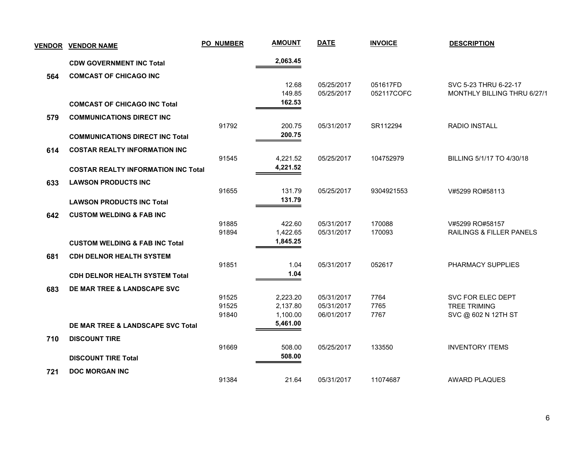| <b>VENDOR</b> | <b>VENDOR NAME</b>                         | <b>PO_NUMBER</b> | <b>AMOUNT</b>        | <b>DATE</b>              | <b>INVOICE</b> | <b>DESCRIPTION</b>                         |
|---------------|--------------------------------------------|------------------|----------------------|--------------------------|----------------|--------------------------------------------|
|               | <b>CDW GOVERNMENT INC Total</b>            |                  | 2,063.45             |                          |                |                                            |
| 564           | <b>COMCAST OF CHICAGO INC</b>              |                  |                      |                          |                |                                            |
|               |                                            |                  | 12.68                | 05/25/2017               | 051617FD       | SVC 5-23 THRU 6-22-17                      |
|               |                                            |                  | 149.85               | 05/25/2017               | 052117COFC     | MONTHLY BILLING THRU 6/27/1                |
|               | <b>COMCAST OF CHICAGO INC Total</b>        |                  | 162.53               |                          |                |                                            |
| 579           | <b>COMMUNICATIONS DIRECT INC</b>           |                  |                      |                          |                |                                            |
|               |                                            | 91792            | 200.75               | 05/31/2017               | SR112294       | <b>RADIO INSTALL</b>                       |
|               | <b>COMMUNICATIONS DIRECT INC Total</b>     |                  | 200.75               |                          |                |                                            |
| 614           | <b>COSTAR REALTY INFORMATION INC</b>       |                  |                      |                          |                |                                            |
|               |                                            | 91545            | 4,221.52             | 05/25/2017               | 104752979      | BILLING 5/1/17 TO 4/30/18                  |
|               | <b>COSTAR REALTY INFORMATION INC Total</b> |                  | 4,221.52             |                          |                |                                            |
| 633           | <b>LAWSON PRODUCTS INC</b>                 |                  |                      |                          |                |                                            |
|               |                                            | 91655            | 131.79               | 05/25/2017               | 9304921553     | V#5299 RO#58113                            |
|               | <b>LAWSON PRODUCTS INC Total</b>           |                  | 131.79               |                          |                |                                            |
| 642           | <b>CUSTOM WELDING &amp; FAB INC</b>        |                  |                      |                          |                |                                            |
|               |                                            | 91885            | 422.60               | 05/31/2017               | 170088         | V#5299 RO#58157                            |
|               |                                            | 91894            | 1,422.65             | 05/31/2017               | 170093         | RAILINGS & FILLER PANELS                   |
|               | <b>CUSTOM WELDING &amp; FAB INC Total</b>  |                  | 1,845.25             |                          |                |                                            |
| 681           | <b>CDH DELNOR HEALTH SYSTEM</b>            |                  |                      |                          |                |                                            |
|               |                                            | 91851            | 1.04<br>1.04         | 05/31/2017               | 052617         | PHARMACY SUPPLIES                          |
|               | <b>CDH DELNOR HEALTH SYSTEM Total</b>      |                  |                      |                          |                |                                            |
| 683           | DE MAR TREE & LANDSCAPE SVC                |                  |                      |                          |                |                                            |
|               |                                            | 91525            | 2,223.20             | 05/31/2017               | 7764           | SVC FOR ELEC DEPT                          |
|               |                                            | 91525<br>91840   | 2,137.80<br>1,100.00 | 05/31/2017<br>06/01/2017 | 7765<br>7767   | <b>TREE TRIMING</b><br>SVC @ 602 N 12TH ST |
|               | DE MAR TREE & LANDSCAPE SVC Total          |                  | 5,461.00             |                          |                |                                            |
|               |                                            |                  |                      |                          |                |                                            |
| 710           | <b>DISCOUNT TIRE</b>                       | 91669            | 508.00               | 05/25/2017               | 133550         | <b>INVENTORY ITEMS</b>                     |
|               | <b>DISCOUNT TIRE Total</b>                 |                  | 508.00               |                          |                |                                            |
|               |                                            |                  |                      |                          |                |                                            |
| 721           | <b>DOC MORGAN INC</b>                      | 91384            | 21.64                | 05/31/2017               | 11074687       | <b>AWARD PLAQUES</b>                       |
|               |                                            |                  |                      |                          |                |                                            |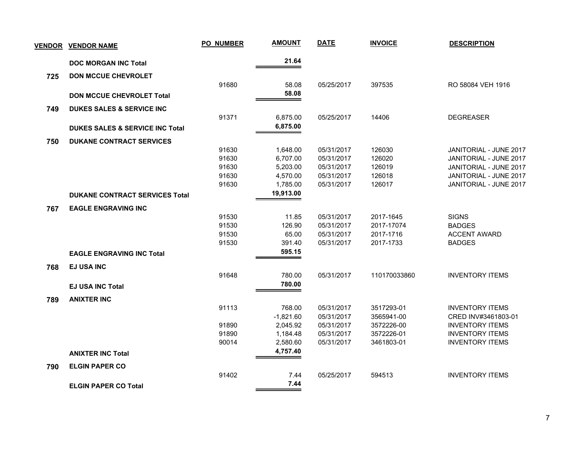|     | <b>VENDOR VENDOR NAME</b>                  | <b>PO_NUMBER</b> | <b>AMOUNT</b> | <b>DATE</b> | <b>INVOICE</b> | <b>DESCRIPTION</b>     |
|-----|--------------------------------------------|------------------|---------------|-------------|----------------|------------------------|
|     | <b>DOC MORGAN INC Total</b>                |                  | 21.64         |             |                |                        |
| 725 | <b>DON MCCUE CHEVROLET</b>                 |                  |               |             |                |                        |
|     |                                            | 91680            | 58.08         | 05/25/2017  | 397535         | RO 58084 VEH 1916      |
|     | <b>DON MCCUE CHEVROLET Total</b>           |                  | 58.08         |             |                |                        |
|     |                                            |                  |               |             |                |                        |
| 749 | <b>DUKES SALES &amp; SERVICE INC</b>       | 91371            | 6,875.00      | 05/25/2017  | 14406          | <b>DEGREASER</b>       |
|     | <b>DUKES SALES &amp; SERVICE INC Total</b> |                  | 6,875.00      |             |                |                        |
|     |                                            |                  |               |             |                |                        |
| 750 | <b>DUKANE CONTRACT SERVICES</b>            |                  |               |             |                |                        |
|     |                                            | 91630            | 1,648.00      | 05/31/2017  | 126030         | JANITORIAL - JUNE 2017 |
|     |                                            | 91630            | 6,707.00      | 05/31/2017  | 126020         | JANITORIAL - JUNE 2017 |
|     |                                            | 91630            | 5,203.00      | 05/31/2017  | 126019         | JANITORIAL - JUNE 2017 |
|     |                                            | 91630            | 4,570.00      | 05/31/2017  | 126018         | JANITORIAL - JUNE 2017 |
|     |                                            | 91630            | 1,785.00      | 05/31/2017  | 126017         | JANITORIAL - JUNE 2017 |
|     | <b>DUKANE CONTRACT SERVICES Total</b>      |                  | 19,913.00     |             |                |                        |
| 767 | <b>EAGLE ENGRAVING INC</b>                 |                  |               |             |                |                        |
|     |                                            | 91530            | 11.85         | 05/31/2017  | 2017-1645      | <b>SIGNS</b>           |
|     |                                            | 91530            | 126.90        | 05/31/2017  | 2017-17074     | <b>BADGES</b>          |
|     |                                            | 91530            | 65.00         | 05/31/2017  | 2017-1716      | <b>ACCENT AWARD</b>    |
|     |                                            | 91530            | 391.40        | 05/31/2017  | 2017-1733      | <b>BADGES</b>          |
|     | <b>EAGLE ENGRAVING INC Total</b>           |                  | 595.15        |             |                |                        |
| 768 | <b>EJ USA INC</b>                          |                  |               |             |                |                        |
|     |                                            | 91648            | 780.00        | 05/31/2017  | 110170033860   | <b>INVENTORY ITEMS</b> |
|     | <b>EJ USA INC Total</b>                    |                  | 780.00        |             |                |                        |
|     |                                            |                  |               |             |                |                        |
| 789 | <b>ANIXTER INC</b>                         |                  |               |             |                |                        |
|     |                                            | 91113            | 768.00        | 05/31/2017  | 3517293-01     | <b>INVENTORY ITEMS</b> |
|     |                                            |                  | $-1,821.60$   | 05/31/2017  | 3565941-00     | CRED INV#3461803-01    |
|     |                                            | 91890            | 2,045.92      | 05/31/2017  | 3572226-00     | <b>INVENTORY ITEMS</b> |
|     |                                            | 91890            | 1,184.48      | 05/31/2017  | 3572226-01     | <b>INVENTORY ITEMS</b> |
|     |                                            | 90014            | 2,580.60      | 05/31/2017  | 3461803-01     | <b>INVENTORY ITEMS</b> |
|     | <b>ANIXTER INC Total</b>                   |                  | 4,757.40      |             |                |                        |
| 790 | <b>ELGIN PAPER CO</b>                      |                  |               |             |                |                        |
|     |                                            | 91402            | 7.44          | 05/25/2017  | 594513         | <b>INVENTORY ITEMS</b> |
|     | <b>ELGIN PAPER CO Total</b>                |                  | 7.44          |             |                |                        |
|     |                                            |                  |               |             |                |                        |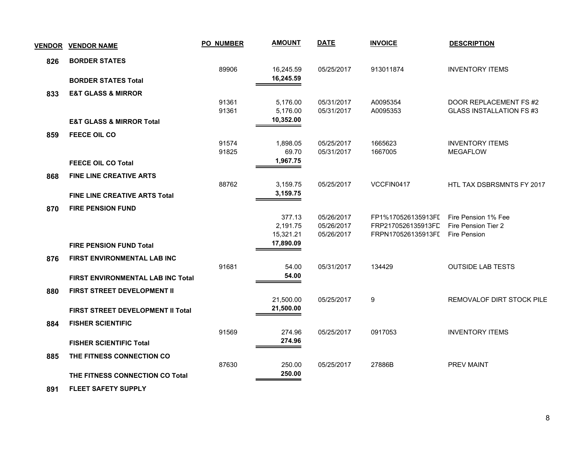| <b>VENDOR</b> | <b>VENDOR NAME</b>                       | <b>PO NUMBER</b> | <b>AMOUNT</b>          | <b>DATE</b> | <b>INVOICE</b>     | <b>DESCRIPTION</b>               |
|---------------|------------------------------------------|------------------|------------------------|-------------|--------------------|----------------------------------|
| 826           | <b>BORDER STATES</b>                     |                  |                        |             |                    |                                  |
|               |                                          | 89906            | 16,245.59              | 05/25/2017  | 913011874          | <b>INVENTORY ITEMS</b>           |
|               | <b>BORDER STATES Total</b>               |                  | 16,245.59              |             |                    |                                  |
| 833           | <b>E&amp;T GLASS &amp; MIRROR</b>        |                  |                        |             |                    |                                  |
|               |                                          | 91361            | 5,176.00               | 05/31/2017  | A0095354           | DOOR REPLACEMENT FS #2           |
|               |                                          | 91361            | 5,176.00               | 05/31/2017  | A0095353           | <b>GLASS INSTALLATION FS #3</b>  |
|               | <b>E&amp;T GLASS &amp; MIRROR Total</b>  |                  | 10,352.00              |             |                    |                                  |
| 859           | FEECE OIL CO                             |                  |                        |             |                    |                                  |
|               |                                          | 91574            | 1,898.05               | 05/25/2017  | 1665623            | <b>INVENTORY ITEMS</b>           |
|               |                                          | 91825            | 69.70<br>1,967.75      | 05/31/2017  | 1667005            | <b>MEGAFLOW</b>                  |
|               | <b>FEECE OIL CO Total</b>                |                  |                        |             |                    |                                  |
| 868           | <b>FINE LINE CREATIVE ARTS</b>           |                  |                        |             |                    |                                  |
|               |                                          | 88762            | 3,159.75               | 05/25/2017  | VCCFIN0417         | <b>HTL TAX DSBRSMNTS FY 2017</b> |
|               | <b>FINE LINE CREATIVE ARTS Total</b>     |                  | 3,159.75               |             |                    |                                  |
| 870           | <b>FIRE PENSION FUND</b>                 |                  |                        |             |                    |                                  |
|               |                                          |                  | 377.13                 | 05/26/2017  | FP1%170526135913FI | Fire Pension 1% Fee              |
|               |                                          |                  | 2,191.75               | 05/26/2017  | FRP2170526135913FD | Fire Pension Tier 2              |
|               |                                          |                  | 15,321.21<br>17,890.09 | 05/26/2017  | FRPN170526135913FI | Fire Pension                     |
|               | <b>FIRE PENSION FUND Total</b>           |                  |                        |             |                    |                                  |
| 876           | <b>FIRST ENVIRONMENTAL LAB INC</b>       |                  |                        |             |                    |                                  |
|               |                                          | 91681            | 54.00                  | 05/31/2017  | 134429             | <b>OUTSIDE LAB TESTS</b>         |
|               | <b>FIRST ENVIRONMENTAL LAB INC Total</b> |                  | 54.00                  |             |                    |                                  |
| 880           | FIRST STREET DEVELOPMENT II              |                  |                        |             |                    |                                  |
|               |                                          |                  | 21,500.00              | 05/25/2017  | 9                  | REMOVALOF DIRT STOCK PILE        |
|               | FIRST STREET DEVELOPMENT II Total        |                  | 21,500.00              |             |                    |                                  |
| 884           | <b>FISHER SCIENTIFIC</b>                 |                  |                        |             |                    |                                  |
|               |                                          | 91569            | 274.96                 | 05/25/2017  | 0917053            | <b>INVENTORY ITEMS</b>           |
|               | <b>FISHER SCIENTIFIC Total</b>           |                  | 274.96                 |             |                    |                                  |
| 885           | THE FITNESS CONNECTION CO                |                  |                        |             |                    |                                  |
|               |                                          | 87630            | 250.00                 | 05/25/2017  | 27886B             | <b>PREV MAINT</b>                |
|               | THE FITNESS CONNECTION CO Total          |                  | 250.00                 |             |                    |                                  |
|               |                                          |                  |                        |             |                    |                                  |

 **891 FLEET SAFETY SUPPLY**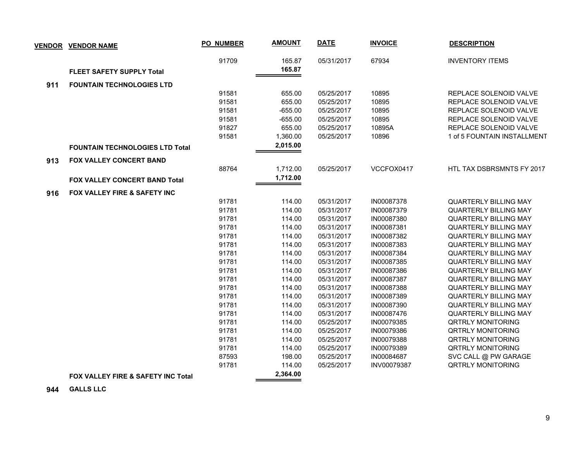|     | <b>VENDOR VENDOR NAME</b>                     | <b>PO_NUMBER</b> | <b>AMOUNT</b>    | <b>DATE</b> | <b>INVOICE</b> | <b>DESCRIPTION</b>           |
|-----|-----------------------------------------------|------------------|------------------|-------------|----------------|------------------------------|
|     | <b>FLEET SAFETY SUPPLY Total</b>              | 91709            | 165.87<br>165.87 | 05/31/2017  | 67934          | <b>INVENTORY ITEMS</b>       |
| 911 | <b>FOUNTAIN TECHNOLOGIES LTD</b>              |                  |                  |             |                |                              |
|     |                                               | 91581            | 655.00           | 05/25/2017  | 10895          | REPLACE SOLENOID VALVE       |
|     |                                               | 91581            | 655.00           | 05/25/2017  | 10895          | REPLACE SOLENOID VALVE       |
|     |                                               | 91581            | $-655.00$        | 05/25/2017  | 10895          | REPLACE SOLENOID VALVE       |
|     |                                               | 91581            | $-655.00$        | 05/25/2017  | 10895          | REPLACE SOLENOID VALVE       |
|     |                                               | 91827            | 655.00           | 05/25/2017  | 10895A         | REPLACE SOLENOID VALVE       |
|     |                                               | 91581            | 1,360.00         | 05/25/2017  | 10896          | 1 of 5 FOUNTAIN INSTALLMENT  |
|     |                                               |                  | 2,015.00         |             |                |                              |
|     | <b>FOUNTAIN TECHNOLOGIES LTD Total</b>        |                  |                  |             |                |                              |
| 913 | <b>FOX VALLEY CONCERT BAND</b>                |                  |                  |             |                |                              |
|     |                                               | 88764            | 1,712.00         | 05/25/2017  | VCCFOX0417     | HTL TAX DSBRSMNTS FY 2017    |
|     | FOX VALLEY CONCERT BAND Total                 |                  | 1,712.00         |             |                |                              |
| 916 | FOX VALLEY FIRE & SAFETY INC                  |                  |                  |             |                |                              |
|     |                                               | 91781            | 114.00           | 05/31/2017  | IN00087378     | <b>QUARTERLY BILLING MAY</b> |
|     |                                               | 91781            | 114.00           | 05/31/2017  | IN00087379     | <b>QUARTERLY BILLING MAY</b> |
|     |                                               | 91781            | 114.00           | 05/31/2017  | IN00087380     | <b>QUARTERLY BILLING MAY</b> |
|     |                                               | 91781            | 114.00           | 05/31/2017  | IN00087381     | <b>QUARTERLY BILLING MAY</b> |
|     |                                               | 91781            | 114.00           | 05/31/2017  | IN00087382     | <b>QUARTERLY BILLING MAY</b> |
|     |                                               | 91781            | 114.00           | 05/31/2017  | IN00087383     | <b>QUARTERLY BILLING MAY</b> |
|     |                                               | 91781            | 114.00           | 05/31/2017  | IN00087384     | <b>QUARTERLY BILLING MAY</b> |
|     |                                               | 91781            | 114.00           | 05/31/2017  | IN00087385     | <b>QUARTERLY BILLING MAY</b> |
|     |                                               | 91781            | 114.00           | 05/31/2017  | IN00087386     | <b>QUARTERLY BILLING MAY</b> |
|     |                                               | 91781            | 114.00           | 05/31/2017  | IN00087387     | <b>QUARTERLY BILLING MAY</b> |
|     |                                               | 91781            | 114.00           | 05/31/2017  | IN00087388     | <b>QUARTERLY BILLING MAY</b> |
|     |                                               | 91781            | 114.00           | 05/31/2017  | IN00087389     | <b>QUARTERLY BILLING MAY</b> |
|     |                                               | 91781            | 114.00           | 05/31/2017  | IN00087390     | <b>QUARTERLY BILLING MAY</b> |
|     |                                               | 91781            | 114.00           | 05/31/2017  | IN00087476     | <b>QUARTERLY BILLING MAY</b> |
|     |                                               | 91781            | 114.00           | 05/25/2017  | IN00079385     | <b>QRTRLY MONITORING</b>     |
|     |                                               | 91781            | 114.00           | 05/25/2017  | IN00079386     | <b>QRTRLY MONITORING</b>     |
|     |                                               | 91781            | 114.00           | 05/25/2017  | IN00079388     | <b>QRTRLY MONITORING</b>     |
|     |                                               | 91781            | 114.00           | 05/25/2017  | IN00079389     | <b>QRTRLY MONITORING</b>     |
|     |                                               | 87593            | 198.00           | 05/25/2017  | IN00084687     | SVC CALL @ PW GARAGE         |
|     |                                               | 91781            | 114.00           | 05/25/2017  | INV00079387    | <b>QRTRLY MONITORING</b>     |
|     | <b>FOX VALLEY FIRE &amp; SAFETY INC Total</b> |                  | 2,364.00         |             |                |                              |

 **944 GALLS LLC**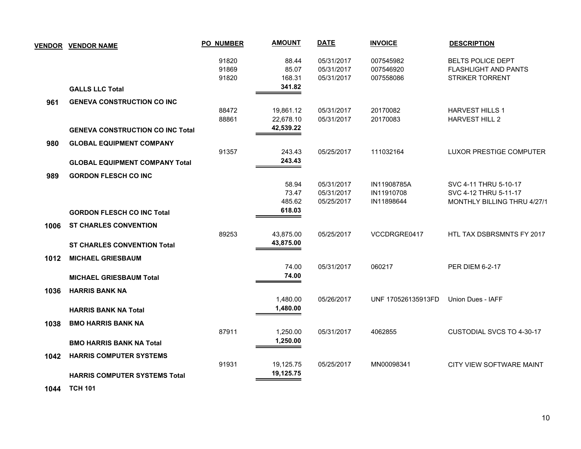|      | <b>VENDOR VENDOR NAME</b>               | <b>PO_NUMBER</b>        | <b>AMOUNT</b>                       | <b>DATE</b>                            | <b>INVOICE</b>                      | <b>DESCRIPTION</b>                                                         |  |
|------|-----------------------------------------|-------------------------|-------------------------------------|----------------------------------------|-------------------------------------|----------------------------------------------------------------------------|--|
|      | <b>GALLS LLC Total</b>                  | 91820<br>91869<br>91820 | 88.44<br>85.07<br>168.31<br>341.82  | 05/31/2017<br>05/31/2017<br>05/31/2017 | 007545982<br>007546920<br>007558086 | <b>BELTS POLICE DEPT</b><br><b>FLASHLIGHT AND PANTS</b><br>STRIKER TORRENT |  |
| 961  | <b>GENEVA CONSTRUCTION CO INC</b>       |                         |                                     |                                        |                                     |                                                                            |  |
|      |                                         | 88472<br>88861          | 19,861.12<br>22,678.10<br>42,539.22 | 05/31/2017<br>05/31/2017               | 20170082<br>20170083                | <b>HARVEST HILLS 1</b><br>HARVEST HILL 2                                   |  |
|      | <b>GENEVA CONSTRUCTION CO INC Total</b> |                         |                                     |                                        |                                     |                                                                            |  |
| 980  | <b>GLOBAL EQUIPMENT COMPANY</b>         | 91357                   | 243.43                              | 05/25/2017                             | 111032164                           | LUXOR PRESTIGE COMPUTER                                                    |  |
|      | <b>GLOBAL EQUIPMENT COMPANY Total</b>   |                         | 243.43                              |                                        |                                     |                                                                            |  |
| 989  | <b>GORDON FLESCH CO INC</b>             |                         |                                     |                                        |                                     |                                                                            |  |
|      |                                         |                         | 58.94<br>73.47                      | 05/31/2017<br>05/31/2017               | IN11908785A<br>IN11910708           | SVC 4-11 THRU 5-10-17<br>SVC 4-12 THRU 5-11-17                             |  |
|      | <b>GORDON FLESCH CO INC Total</b>       |                         | 485.62<br>618.03                    | 05/25/2017                             | IN11898644                          | MONTHLY BILLING THRU 4/27/1                                                |  |
| 1006 | <b>ST CHARLES CONVENTION</b>            | 89253                   | 43,875.00                           | 05/25/2017                             | VCCDRGRE0417                        | HTL TAX DSBRSMNTS FY 2017                                                  |  |
|      | <b>ST CHARLES CONVENTION Total</b>      |                         | 43,875.00                           |                                        |                                     |                                                                            |  |
| 1012 | <b>MICHAEL GRIESBAUM</b>                |                         | 74.00                               | 05/31/2017                             | 060217                              | <b>PER DIEM 6-2-17</b>                                                     |  |
|      | <b>MICHAEL GRIESBAUM Total</b>          |                         | 74.00                               |                                        |                                     |                                                                            |  |
| 1036 | <b>HARRIS BANK NA</b>                   |                         | 1,480.00                            | 05/26/2017                             | UNF 170526135913FD                  | Union Dues - IAFF                                                          |  |
|      | <b>HARRIS BANK NA Total</b>             |                         | 1,480.00                            |                                        |                                     |                                                                            |  |
| 1038 | <b>BMO HARRIS BANK NA</b>               |                         |                                     |                                        |                                     |                                                                            |  |
|      | <b>BMO HARRIS BANK NA Total</b>         | 87911                   | 1,250.00<br>1,250.00                | 05/31/2017                             | 4062855                             | <b>CUSTODIAL SVCS TO 4-30-17</b>                                           |  |
| 1042 | <b>HARRIS COMPUTER SYSTEMS</b>          | 91931                   | 19,125.75                           | 05/25/2017                             | MN00098341                          | CITY VIEW SOFTWARE MAINT                                                   |  |
|      | <b>HARRIS COMPUTER SYSTEMS Total</b>    |                         | 19,125.75                           |                                        |                                     |                                                                            |  |
|      |                                         |                         |                                     |                                        |                                     |                                                                            |  |

 **1044 TCH 101**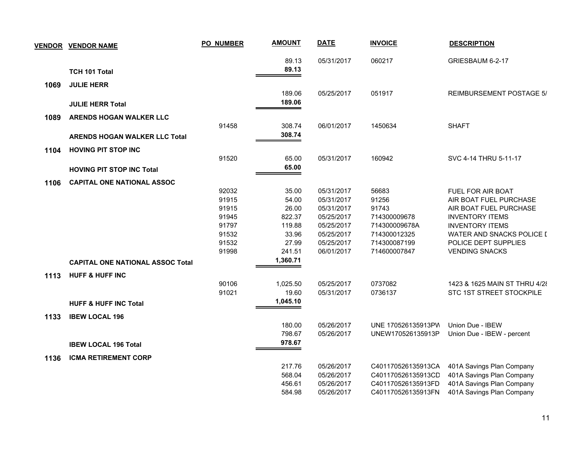| <b>VENDOR</b> | <b>VENDOR NAME</b>                      | <b>PO_NUMBER</b> | <b>AMOUNT</b>      | <b>DATE</b> | <b>INVOICE</b>     | <b>DESCRIPTION</b>               |
|---------------|-----------------------------------------|------------------|--------------------|-------------|--------------------|----------------------------------|
|               |                                         |                  | 89.13              | 05/31/2017  | 060217             | GRIESBAUM 6-2-17                 |
|               | TCH 101 Total                           |                  | 89.13              |             |                    |                                  |
| 1069          | <b>JULIE HERR</b>                       |                  |                    |             |                    |                                  |
|               |                                         |                  | 189.06             | 05/25/2017  | 051917             | <b>REIMBURSEMENT POSTAGE 5/</b>  |
|               | <b>JULIE HERR Total</b>                 |                  | 189.06             |             |                    |                                  |
|               |                                         |                  |                    |             |                    |                                  |
| 1089          | ARENDS HOGAN WALKER LLC                 |                  |                    |             |                    |                                  |
|               |                                         | 91458            | 308.74<br>308.74   | 06/01/2017  | 1450634            | <b>SHAFT</b>                     |
|               | <b>ARENDS HOGAN WALKER LLC Total</b>    |                  |                    |             |                    |                                  |
| 1104          | <b>HOVING PIT STOP INC</b>              |                  |                    |             |                    |                                  |
|               |                                         | 91520            | 65.00              | 05/31/2017  | 160942             | SVC 4-14 THRU 5-11-17            |
|               | <b>HOVING PIT STOP INC Total</b>        |                  | 65.00              |             |                    |                                  |
| 1106          | <b>CAPITAL ONE NATIONAL ASSOC</b>       |                  |                    |             |                    |                                  |
|               |                                         | 92032            | 35.00              | 05/31/2017  | 56683              | FUEL FOR AIR BOAT                |
|               |                                         | 91915            | 54.00              | 05/31/2017  | 91256              | AIR BOAT FUEL PURCHASE           |
|               |                                         | 91915            | 26.00              | 05/31/2017  | 91743              | AIR BOAT FUEL PURCHASE           |
|               |                                         | 91945            | 822.37             | 05/25/2017  | 714300009678       | <b>INVENTORY ITEMS</b>           |
|               |                                         | 91797            | 119.88             | 05/25/2017  | 714300009678A      | <b>INVENTORY ITEMS</b>           |
|               |                                         | 91532            | 33.96              | 05/25/2017  | 714300012325       | <b>WATER AND SNACKS POLICE I</b> |
|               |                                         | 91532            | 27.99              | 05/25/2017  | 714300087199       | POLICE DEPT SUPPLIES             |
|               |                                         | 91998            | 241.51<br>1,360.71 | 06/01/2017  | 714600007847       | <b>VENDING SNACKS</b>            |
|               | <b>CAPITAL ONE NATIONAL ASSOC Total</b> |                  |                    |             |                    |                                  |
| 1113          | <b>HUFF &amp; HUFF INC</b>              |                  |                    |             |                    |                                  |
|               |                                         | 90106            | 1,025.50           | 05/25/2017  | 0737082            | 1423 & 1625 MAIN ST THRU 4/28    |
|               |                                         | 91021            | 19.60              | 05/31/2017  | 0736137            | STC 1ST STREET STOCKPILE         |
|               | <b>HUFF &amp; HUFF INC Total</b>        |                  | 1,045.10           |             |                    |                                  |
| 1133          | <b>IBEW LOCAL 196</b>                   |                  |                    |             |                    |                                  |
|               |                                         |                  | 180.00             | 05/26/2017  | UNE 170526135913PW | Union Due - IBEW                 |
|               |                                         |                  | 798.67             | 05/26/2017  | UNEW170526135913P  | Union Due - IBEW - percent       |
|               | <b>IBEW LOCAL 196 Total</b>             |                  | 978.67             |             |                    |                                  |
| 1136          | <b>ICMA RETIREMENT CORP</b>             |                  |                    |             |                    |                                  |
|               |                                         |                  | 217.76             | 05/26/2017  | C401170526135913CA | 401A Savings Plan Company        |
|               |                                         |                  | 568.04             | 05/26/2017  | C401170526135913CD | 401A Savings Plan Company        |
|               |                                         |                  | 456.61             | 05/26/2017  | C401170526135913FD | 401A Savings Plan Company        |
|               |                                         |                  | 584.98             | 05/26/2017  | C401170526135913FN | 401A Savings Plan Company        |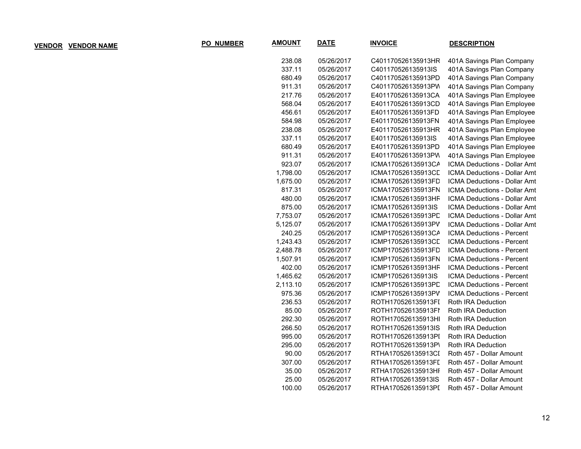| <b>AMOUNT</b> | <b>DATE</b> | <b>INVOICE</b>     | <b>DESCRIPTION</b>               |
|---------------|-------------|--------------------|----------------------------------|
| 238.08        | 05/26/2017  | C401170526135913HR | 401A Savings Plan Company        |
| 337.11        | 05/26/2017  | C401170526135913IS | 401A Savings Plan Company        |
| 680.49        | 05/26/2017  | C401170526135913PD | 401A Savings Plan Company        |
| 911.31        | 05/26/2017  | C401170526135913PW | 401A Savings Plan Company        |
| 217.76        | 05/26/2017  | E401170526135913CA | 401A Savings Plan Employee       |
| 568.04        | 05/26/2017  | E401170526135913CD | 401A Savings Plan Employee       |
| 456.61        | 05/26/2017  | E401170526135913FD | 401A Savings Plan Employee       |
| 584.98        | 05/26/2017  | E401170526135913FN | 401A Savings Plan Employee       |
| 238.08        | 05/26/2017  | E401170526135913HR | 401A Savings Plan Employee       |
| 337.11        | 05/26/2017  | E401170526135913IS | 401A Savings Plan Employee       |
| 680.49        | 05/26/2017  | E401170526135913PD | 401A Savings Plan Employee       |
| 911.31        | 05/26/2017  | E401170526135913PW | 401A Savings Plan Employee       |
| 923.07        | 05/26/2017  | ICMA170526135913CA | ICMA Deductions - Dollar Amt     |
| 1,798.00      | 05/26/2017  | ICMA170526135913CD | ICMA Deductions - Dollar Amt     |
| 1,675.00      | 05/26/2017  | ICMA170526135913FD | ICMA Deductions - Dollar Amt     |
| 817.31        | 05/26/2017  | ICMA170526135913FN | ICMA Deductions - Dollar Amt     |
| 480.00        | 05/26/2017  | ICMA170526135913HF | ICMA Deductions - Dollar Amt     |
| 875.00        | 05/26/2017  | ICMA170526135913IS | ICMA Deductions - Dollar Amt     |
| 7,753.07      | 05/26/2017  | ICMA170526135913PD | ICMA Deductions - Dollar Amt     |
| 5,125.07      | 05/26/2017  | ICMA170526135913PV | ICMA Deductions - Dollar Amt     |
| 240.25        | 05/26/2017  | ICMP170526135913CA | ICMA Deductions - Percent        |
| 1,243.43      | 05/26/2017  | ICMP170526135913CL | <b>ICMA Deductions - Percent</b> |
| 2,488.78      | 05/26/2017  | ICMP170526135913FD | ICMA Deductions - Percent        |
| 1,507.91      | 05/26/2017  | ICMP170526135913FN | ICMA Deductions - Percent        |
| 402.00        | 05/26/2017  | ICMP170526135913HF | ICMA Deductions - Percent        |
| 1,465.62      | 05/26/2017  | ICMP170526135913IS | ICMA Deductions - Percent        |
| 2,113.10      | 05/26/2017  | ICMP170526135913PD | <b>ICMA Deductions - Percent</b> |
| 975.36        | 05/26/2017  | ICMP170526135913PV | <b>ICMA Deductions - Percent</b> |
| 236.53        | 05/26/2017  | ROTH170526135913FI | Roth IRA Deduction               |
| 85.00         | 05/26/2017  | ROTH170526135913FI | Roth IRA Deduction               |
| 292.30        | 05/26/2017  | ROTH170526135913HI | Roth IRA Deduction               |
| 266.50        | 05/26/2017  | ROTH170526135913IS | Roth IRA Deduction               |
| 995.00        | 05/26/2017  | ROTH170526135913PI | Roth IRA Deduction               |
| 295.00        | 05/26/2017  | ROTH170526135913P\ | Roth IRA Deduction               |
| 90.00         | 05/26/2017  | RTHA170526135913CI | Roth 457 - Dollar Amount         |
| 307.00        | 05/26/2017  | RTHA170526135913FI | Roth 457 - Dollar Amount         |
| 35.00         | 05/26/2017  | RTHA170526135913HI | Roth 457 - Dollar Amount         |
| 25.00         | 05/26/2017  | RTHA170526135913IS | Roth 457 - Dollar Amount         |
| 100.00        | 05/26/2017  | RTHA170526135913PI | Roth 457 - Dollar Amount         |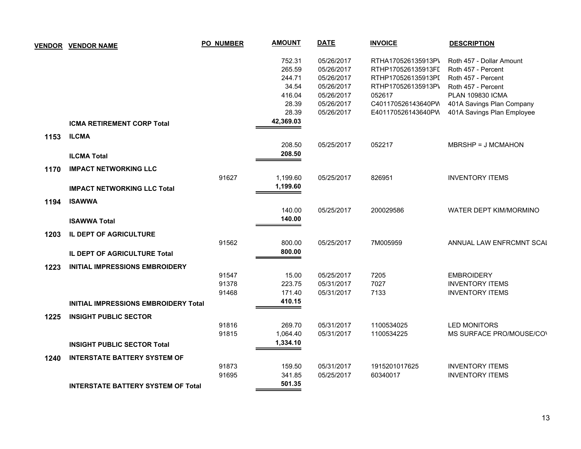| <b>VENDOR</b> | <b>VENDOR NAME</b>                        | PO_NUMBER | <b>AMOUNT</b> | <b>DATE</b> | <b>INVOICE</b>     | <b>DESCRIPTION</b>         |
|---------------|-------------------------------------------|-----------|---------------|-------------|--------------------|----------------------------|
|               |                                           |           | 752.31        | 05/26/2017  | RTHA170526135913P\ | Roth 457 - Dollar Amount   |
|               |                                           |           | 265.59        | 05/26/2017  | RTHP170526135913FI | Roth 457 - Percent         |
|               |                                           |           | 244.71        | 05/26/2017  | RTHP170526135913PI | Roth 457 - Percent         |
|               |                                           |           | 34.54         | 05/26/2017  | RTHP170526135913P\ | Roth 457 - Percent         |
|               |                                           |           | 416.04        | 05/26/2017  | 052617             | <b>PLAN 109830 ICMA</b>    |
|               |                                           |           | 28.39         | 05/26/2017  | C401170526143640PW | 401A Savings Plan Company  |
|               |                                           |           | 28.39         | 05/26/2017  | E401170526143640PW | 401A Savings Plan Employee |
|               | <b>ICMA RETIREMENT CORP Total</b>         |           | 42,369.03     |             |                    |                            |
| 1153          | <b>ILCMA</b>                              |           |               |             |                    |                            |
|               |                                           |           | 208.50        | 05/25/2017  | 052217             | MBRSHP = J MCMAHON         |
|               | <b>ILCMA Total</b>                        |           | 208.50        |             |                    |                            |
| 1170          | <b>IMPACT NETWORKING LLC</b>              |           |               |             |                    |                            |
|               |                                           | 91627     | 1,199.60      | 05/25/2017  | 826951             | <b>INVENTORY ITEMS</b>     |
|               | <b>IMPACT NETWORKING LLC Total</b>        |           | 1,199.60      |             |                    |                            |
| 1194          | <b>ISAWWA</b>                             |           |               |             |                    |                            |
|               |                                           |           | 140.00        | 05/25/2017  | 200029586          | WATER DEPT KIM/MORMINO     |
|               | <b>ISAWWA Total</b>                       |           | 140.00        |             |                    |                            |
|               |                                           |           |               |             |                    |                            |
| 1203          | IL DEPT OF AGRICULTURE                    |           |               |             |                    |                            |
|               |                                           | 91562     | 800.00        | 05/25/2017  | 7M005959           | ANNUAL LAW ENFRCMNT SCAI   |
|               | <b>IL DEPT OF AGRICULTURE Total</b>       |           | 800.00        |             |                    |                            |
| 1223          | <b>INITIAL IMPRESSIONS EMBROIDERY</b>     |           |               |             |                    |                            |
|               |                                           | 91547     | 15.00         | 05/25/2017  | 7205               | <b>EMBROIDERY</b>          |
|               |                                           | 91378     | 223.75        | 05/31/2017  | 7027               | <b>INVENTORY ITEMS</b>     |
|               |                                           | 91468     | 171.40        | 05/31/2017  | 7133               | <b>INVENTORY ITEMS</b>     |
|               | INITIAL IMPRESSIONS EMBROIDERY Total      |           | 410.15        |             |                    |                            |
| 1225          | <b>INSIGHT PUBLIC SECTOR</b>              |           |               |             |                    |                            |
|               |                                           | 91816     | 269.70        | 05/31/2017  | 1100534025         | <b>LED MONITORS</b>        |
|               |                                           | 91815     | 1,064.40      | 05/31/2017  | 1100534225         | MS SURFACE PRO/MOUSE/COV   |
|               | <b>INSIGHT PUBLIC SECTOR Total</b>        |           | 1,334.10      |             |                    |                            |
| 1240          | <b>INTERSTATE BATTERY SYSTEM OF</b>       |           |               |             |                    |                            |
|               |                                           | 91873     | 159.50        | 05/31/2017  | 1915201017625      | <b>INVENTORY ITEMS</b>     |
|               |                                           | 91695     | 341.85        | 05/25/2017  | 60340017           | <b>INVENTORY ITEMS</b>     |
|               | <b>INTERSTATE BATTERY SYSTEM OF Total</b> |           | 501.35        |             |                    |                            |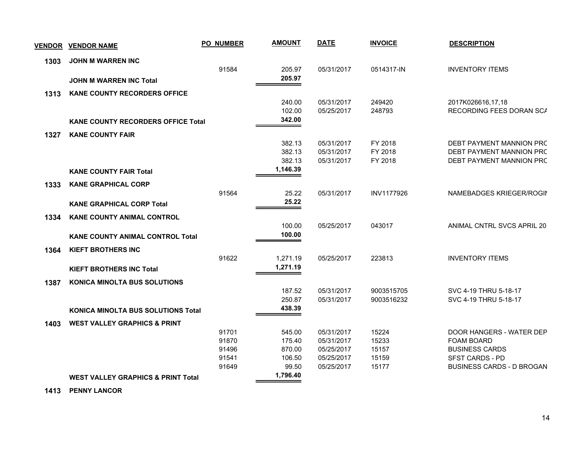|      | <u>VENDOR VENDOR NAME</u>                     | <b>PO NUMBER</b> | <b>AMOUNT</b>    | <b>DATE</b>              | <b>INVOICE</b>    | <b>DESCRIPTION</b>                            |
|------|-----------------------------------------------|------------------|------------------|--------------------------|-------------------|-----------------------------------------------|
| 1303 | <b>JOHN M WARREN INC</b>                      |                  |                  |                          |                   |                                               |
|      |                                               | 91584            | 205.97           | 05/31/2017               | 0514317-IN        | <b>INVENTORY ITEMS</b>                        |
|      | <b>JOHN M WARREN INC Total</b>                |                  | 205.97           |                          |                   |                                               |
| 1313 | <b>KANE COUNTY RECORDERS OFFICE</b>           |                  |                  |                          |                   |                                               |
|      |                                               |                  | 240.00           | 05/31/2017               | 249420            | 2017K026616,17,18                             |
|      |                                               |                  | 102.00<br>342.00 | 05/25/2017               | 248793            | RECORDING FEES DORAN SCA                      |
|      | <b>KANE COUNTY RECORDERS OFFICE Total</b>     |                  |                  |                          |                   |                                               |
| 1327 | <b>KANE COUNTY FAIR</b>                       |                  | 382.13           | 05/31/2017               | FY 2018           | DEBT PAYMENT MANNION PRC                      |
|      |                                               |                  | 382.13           | 05/31/2017               | FY 2018           | DEBT PAYMENT MANNION PRC                      |
|      |                                               |                  | 382.13           | 05/31/2017               | FY 2018           | DEBT PAYMENT MANNION PRC                      |
|      | <b>KANE COUNTY FAIR Total</b>                 |                  | 1,146.39         |                          |                   |                                               |
| 1333 | <b>KANE GRAPHICAL CORP</b>                    |                  |                  |                          |                   |                                               |
|      |                                               | 91564            | 25.22            | 05/31/2017               | <b>INV1177926</b> | NAMEBADGES KRIEGER/ROGIN                      |
|      | <b>KANE GRAPHICAL CORP Total</b>              |                  | 25.22            |                          |                   |                                               |
| 1334 | <b>KANE COUNTY ANIMAL CONTROL</b>             |                  |                  |                          |                   |                                               |
|      |                                               |                  | 100.00           | 05/25/2017               | 043017            | ANIMAL CNTRL SVCS APRIL 20                    |
|      | <b>KANE COUNTY ANIMAL CONTROL Total</b>       |                  | 100.00           |                          |                   |                                               |
| 1364 | <b>KIEFT BROTHERS INC</b>                     |                  |                  |                          |                   |                                               |
|      |                                               | 91622            | 1,271.19         | 05/25/2017               | 223813            | <b>INVENTORY ITEMS</b>                        |
|      | <b>KIEFT BROTHERS INC Total</b>               |                  | 1,271.19         |                          |                   |                                               |
| 1387 | <b>KONICA MINOLTA BUS SOLUTIONS</b>           |                  |                  |                          |                   |                                               |
|      |                                               |                  | 187.52           | 05/31/2017               | 9003515705        | SVC 4-19 THRU 5-18-17                         |
|      |                                               |                  | 250.87<br>438.39 | 05/31/2017               | 9003516232        | SVC 4-19 THRU 5-18-17                         |
|      | <b>KONICA MINOLTA BUS SOLUTIONS Total</b>     |                  |                  |                          |                   |                                               |
| 1403 | <b>WEST VALLEY GRAPHICS &amp; PRINT</b>       |                  |                  |                          |                   |                                               |
|      |                                               | 91701<br>91870   | 545.00<br>175.40 | 05/31/2017<br>05/31/2017 | 15224<br>15233    | DOOR HANGERS - WATER DEP<br><b>FOAM BOARD</b> |
|      |                                               | 91496            | 870.00           | 05/25/2017               | 15157             | <b>BUSINESS CARDS</b>                         |
|      |                                               | 91541            | 106.50           | 05/25/2017               | 15159             | SFST CARDS - PD                               |
|      |                                               | 91649            | 99.50            | 05/25/2017               | 15177             | <b>BUSINESS CARDS - D BROGAN</b>              |
|      | <b>WEST VALLEY GRAPHICS &amp; PRINT Total</b> |                  | 1,796.40         |                          |                   |                                               |

 **1413 PENNY LANCOR**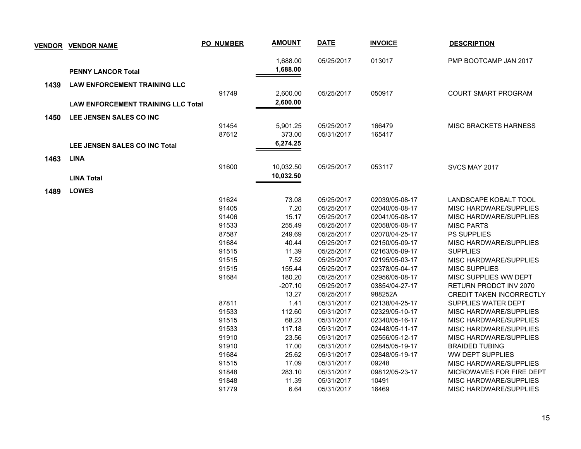| <b>VENDOR</b> | <b>VENDOR NAME</b>                        | <b>PO_NUMBER</b> | <b>AMOUNT</b> | <b>DATE</b> | <b>INVOICE</b> | <b>DESCRIPTION</b>           |
|---------------|-------------------------------------------|------------------|---------------|-------------|----------------|------------------------------|
|               |                                           |                  | 1,688.00      | 05/25/2017  | 013017         | PMP BOOTCAMP JAN 2017        |
|               | <b>PENNY LANCOR Total</b>                 |                  | 1,688.00      |             |                |                              |
| 1439          | <b>LAW ENFORCEMENT TRAINING LLC</b>       |                  |               |             |                |                              |
|               |                                           | 91749            | 2,600.00      | 05/25/2017  | 050917         | <b>COURT SMART PROGRAM</b>   |
|               | <b>LAW ENFORCEMENT TRAINING LLC Total</b> |                  | 2,600.00      |             |                |                              |
|               | LEE JENSEN SALES CO INC                   |                  |               |             |                |                              |
| 1450          |                                           | 91454            | 5,901.25      | 05/25/2017  | 166479         | <b>MISC BRACKETS HARNESS</b> |
|               |                                           | 87612            | 373.00        | 05/31/2017  | 165417         |                              |
|               | <b>LEE JENSEN SALES CO INC Total</b>      |                  | 6,274.25      |             |                |                              |
|               |                                           |                  |               |             |                |                              |
| 1463          | <b>LINA</b>                               |                  |               |             |                |                              |
|               |                                           | 91600            | 10,032.50     | 05/25/2017  | 053117         | SVCS MAY 2017                |
|               | <b>LINA Total</b>                         |                  | 10,032.50     |             |                |                              |
| 1489          | <b>LOWES</b>                              |                  |               |             |                |                              |
|               |                                           | 91624            | 73.08         | 05/25/2017  | 02039/05-08-17 | LANDSCAPE KOBALT TOOL        |
|               |                                           | 91405            | 7.20          | 05/25/2017  | 02040/05-08-17 | MISC HARDWARE/SUPPLIES       |
|               |                                           | 91406            | 15.17         | 05/25/2017  | 02041/05-08-17 | MISC HARDWARE/SUPPLIES       |
|               |                                           | 91533            | 255.49        | 05/25/2017  | 02058/05-08-17 | <b>MISC PARTS</b>            |
|               |                                           | 87587            | 249.69        | 05/25/2017  | 02070/04-25-17 | <b>PS SUPPLIES</b>           |
|               |                                           | 91684            | 40.44         | 05/25/2017  | 02150/05-09-17 | MISC HARDWARE/SUPPLIES       |
|               |                                           | 91515            | 11.39         | 05/25/2017  | 02163/05-09-17 | <b>SUPPLIES</b>              |
|               |                                           | 91515            | 7.52          | 05/25/2017  | 02195/05-03-17 | MISC HARDWARE/SUPPLIES       |
|               |                                           | 91515            | 155.44        | 05/25/2017  | 02378/05-04-17 | <b>MISC SUPPLIES</b>         |
|               |                                           | 91684            | 180.20        | 05/25/2017  | 02956/05-08-17 | MISC SUPPLIES WW DEPT        |
|               |                                           |                  | $-207.10$     | 05/25/2017  | 03854/04-27-17 | RETURN PRODCT INV 2070       |
|               |                                           |                  | 13.27         | 05/25/2017  | 988252A        | CREDIT TAKEN INCORRECTLY     |
|               |                                           | 87811            | 1.41          | 05/31/2017  | 02138/04-25-17 | SUPPLIES WATER DEPT          |
|               |                                           | 91533            | 112.60        | 05/31/2017  | 02329/05-10-17 | MISC HARDWARE/SUPPLIES       |
|               |                                           | 91515            | 68.23         | 05/31/2017  | 02340/05-16-17 | MISC HARDWARE/SUPPLIES       |
|               |                                           | 91533            | 117.18        | 05/31/2017  | 02448/05-11-17 | MISC HARDWARE/SUPPLIES       |
|               |                                           | 91910            | 23.56         | 05/31/2017  | 02556/05-12-17 | MISC HARDWARE/SUPPLIES       |
|               |                                           | 91910            | 17.00         | 05/31/2017  | 02845/05-19-17 | <b>BRAIDED TUBING</b>        |
|               |                                           | 91684            | 25.62         | 05/31/2017  | 02848/05-19-17 | WW DEPT SUPPLIES             |
|               |                                           | 91515            | 17.09         | 05/31/2017  | 09248          | MISC HARDWARE/SUPPLIES       |
|               |                                           | 91848            | 283.10        | 05/31/2017  | 09812/05-23-17 | MICROWAVES FOR FIRE DEPT     |
|               |                                           | 91848            | 11.39         | 05/31/2017  | 10491          | MISC HARDWARE/SUPPLIES       |
|               |                                           | 91779            | 6.64          | 05/31/2017  | 16469          | MISC HARDWARE/SUPPLIES       |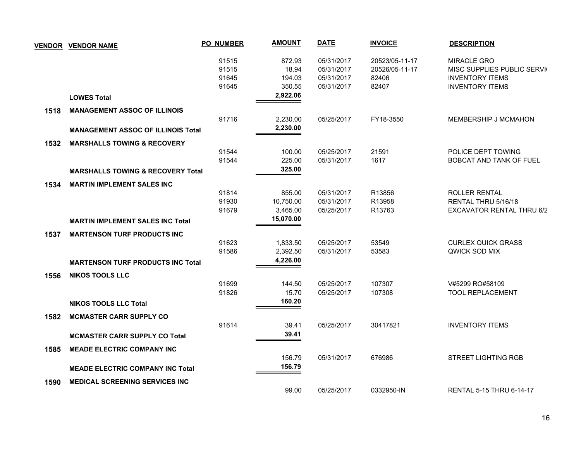|      | <b>VENDOR VENDOR NAME</b>                    | <b>PO_NUMBER</b>        | <b>AMOUNT</b>             | <b>DATE</b>                            | <b>INVOICE</b>                            | <b>DESCRIPTION</b>                                                         |
|------|----------------------------------------------|-------------------------|---------------------------|----------------------------------------|-------------------------------------------|----------------------------------------------------------------------------|
|      |                                              | 91515<br>91515<br>91645 | 872.93<br>18.94<br>194.03 | 05/31/2017<br>05/31/2017<br>05/31/2017 | 20523/05-11-17<br>20526/05-11-17<br>82406 | <b>MIRACLE GRO</b><br>MISC SUPPLIES PUBLIC SERVI<br><b>INVENTORY ITEMS</b> |
|      | <b>LOWES Total</b>                           | 91645                   | 350.55<br>2,922.06        | 05/31/2017                             | 82407                                     | <b>INVENTORY ITEMS</b>                                                     |
| 1518 | <b>MANAGEMENT ASSOC OF ILLINOIS</b>          |                         |                           |                                        |                                           |                                                                            |
|      |                                              | 91716                   | 2,230.00                  | 05/25/2017                             | FY18-3550                                 | MEMBERSHIP J MCMAHON                                                       |
|      | <b>MANAGEMENT ASSOC OF ILLINOIS Total</b>    |                         | 2,230.00                  |                                        |                                           |                                                                            |
| 1532 | <b>MARSHALLS TOWING &amp; RECOVERY</b>       |                         |                           |                                        |                                           |                                                                            |
|      |                                              | 91544                   | 100.00                    | 05/25/2017                             | 21591                                     | POLICE DEPT TOWING                                                         |
|      |                                              | 91544                   | 225.00                    | 05/31/2017                             | 1617                                      | <b>BOBCAT AND TANK OF FUEL</b>                                             |
|      | <b>MARSHALLS TOWING &amp; RECOVERY Total</b> |                         | 325.00                    |                                        |                                           |                                                                            |
| 1534 | <b>MARTIN IMPLEMENT SALES INC</b>            |                         |                           |                                        |                                           |                                                                            |
|      |                                              | 91814                   | 855.00                    | 05/31/2017                             | R13856                                    | ROLLER RENTAL                                                              |
|      |                                              | 91930                   | 10,750.00                 | 05/31/2017                             | R13958                                    | RENTAL THRU 5/16/18                                                        |
|      |                                              | 91679                   | 3,465.00                  | 05/25/2017                             | R13763                                    | EXCAVATOR RENTAL THRU 6/2                                                  |
|      | <b>MARTIN IMPLEMENT SALES INC Total</b>      |                         | 15,070.00                 |                                        |                                           |                                                                            |
| 1537 | <b>MARTENSON TURF PRODUCTS INC</b>           |                         |                           |                                        |                                           |                                                                            |
|      |                                              | 91623                   | 1,833.50                  | 05/25/2017                             | 53549                                     | <b>CURLEX QUICK GRASS</b>                                                  |
|      |                                              | 91586                   | 2,392.50                  | 05/31/2017                             | 53583                                     | QWICK SOD MIX                                                              |
|      | <b>MARTENSON TURF PRODUCTS INC Total</b>     |                         | 4,226.00                  |                                        |                                           |                                                                            |
| 1556 | <b>NIKOS TOOLS LLC</b>                       |                         |                           |                                        |                                           |                                                                            |
|      |                                              | 91699                   | 144.50                    | 05/25/2017                             | 107307                                    | V#5299 RO#58109                                                            |
|      |                                              | 91826                   | 15.70                     | 05/25/2017                             | 107308                                    | <b>TOOL REPLACEMENT</b>                                                    |
|      | <b>NIKOS TOOLS LLC Total</b>                 |                         | 160.20                    |                                        |                                           |                                                                            |
| 1582 | <b>MCMASTER CARR SUPPLY CO</b>               |                         |                           |                                        |                                           |                                                                            |
|      |                                              | 91614                   | 39.41                     | 05/25/2017                             | 30417821                                  | <b>INVENTORY ITEMS</b>                                                     |
|      | <b>MCMASTER CARR SUPPLY CO Total</b>         |                         | 39.41                     |                                        |                                           |                                                                            |
| 1585 | <b>MEADE ELECTRIC COMPANY INC</b>            |                         |                           |                                        |                                           |                                                                            |
|      |                                              |                         | 156.79                    | 05/31/2017                             | 676986                                    | <b>STREET LIGHTING RGB</b>                                                 |
|      | <b>MEADE ELECTRIC COMPANY INC Total</b>      |                         | 156.79                    |                                        |                                           |                                                                            |
| 1590 | <b>MEDICAL SCREENING SERVICES INC.</b>       |                         |                           |                                        |                                           |                                                                            |
|      |                                              |                         | 99.00                     | 05/25/2017                             | 0332950-IN                                | RENTAL 5-15 THRU 6-14-17                                                   |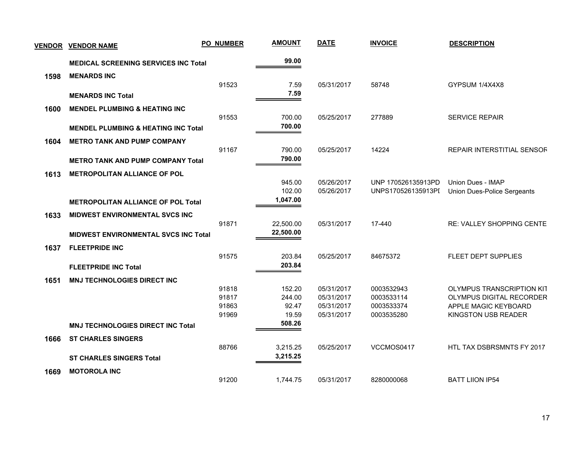| <b>VENDOR</b> | <b>VENDOR NAME</b>                             | <b>PO_NUMBER</b> | <b>AMOUNT</b>    | <b>DATE</b>              | <b>INVOICE</b>           | <b>DESCRIPTION</b>                                    |
|---------------|------------------------------------------------|------------------|------------------|--------------------------|--------------------------|-------------------------------------------------------|
|               | <b>MEDICAL SCREENING SERVICES INC Total</b>    |                  | 99.00            |                          |                          |                                                       |
| 1598          | <b>MENARDS INC</b>                             |                  |                  |                          |                          |                                                       |
|               |                                                | 91523            | 7.59<br>7.59     | 05/31/2017               | 58748                    | GYPSUM 1/4X4X8                                        |
|               | <b>MENARDS INC Total</b>                       |                  |                  |                          |                          |                                                       |
| 1600          | <b>MENDEL PLUMBING &amp; HEATING INC</b>       | 91553            | 700.00           | 05/25/2017               | 277889                   | <b>SERVICE REPAIR</b>                                 |
|               | <b>MENDEL PLUMBING &amp; HEATING INC Total</b> |                  | 700.00           |                          |                          |                                                       |
|               |                                                |                  |                  |                          |                          |                                                       |
| 1604          | <b>METRO TANK AND PUMP COMPANY</b>             | 91167            | 790.00           | 05/25/2017               | 14224                    | REPAIR INTERSTITIAL SENSOR                            |
|               | <b>METRO TANK AND PUMP COMPANY Total</b>       |                  | 790.00           |                          |                          |                                                       |
| 1613          | <b>METROPOLITAN ALLIANCE OF POL</b>            |                  |                  |                          |                          |                                                       |
|               |                                                |                  | 945.00           | 05/26/2017               | UNP 170526135913PD       | Union Dues - IMAP                                     |
|               |                                                |                  | 102.00           | 05/26/2017               | UNPS170526135913PI       | Union Dues-Police Sergeants                           |
|               | <b>METROPOLITAN ALLIANCE OF POL Total</b>      |                  | 1,047.00         |                          |                          |                                                       |
| 1633          | <b>MIDWEST ENVIRONMENTAL SVCS INC</b>          |                  |                  |                          |                          |                                                       |
|               |                                                | 91871            | 22,500.00        | 05/31/2017               | 17-440                   | <b>RE: VALLEY SHOPPING CENTE</b>                      |
|               | <b>MIDWEST ENVIRONMENTAL SVCS INC Total</b>    |                  | 22,500.00        |                          |                          |                                                       |
| 1637          | <b>FLEETPRIDE INC</b>                          |                  |                  |                          |                          |                                                       |
|               |                                                | 91575            | 203.84           | 05/25/2017               | 84675372                 | FLEET DEPT SUPPLIES                                   |
|               | <b>FLEETPRIDE INC Total</b>                    |                  | 203.84           |                          |                          |                                                       |
| 1651          | <b>MNJ TECHNOLOGIES DIRECT INC</b>             |                  |                  |                          |                          |                                                       |
|               |                                                | 91818<br>91817   | 152.20<br>244.00 | 05/31/2017<br>05/31/2017 | 0003532943<br>0003533114 | OLYMPUS TRANSCRIPTION KIT<br>OLYMPUS DIGITAL RECORDER |
|               |                                                | 91863            | 92.47            | 05/31/2017               | 0003533374               | APPLE MAGIC KEYBOARD                                  |
|               |                                                | 91969            | 19.59            | 05/31/2017               | 0003535280               | KINGSTON USB READER                                   |
|               | <b>MNJ TECHNOLOGIES DIRECT INC Total</b>       |                  | 508.26           |                          |                          |                                                       |
| 1666          | <b>ST CHARLES SINGERS</b>                      |                  |                  |                          |                          |                                                       |
|               |                                                | 88766            | 3,215.25         | 05/25/2017               | VCCMOS0417               | HTL TAX DSBRSMNTS FY 2017                             |
|               | <b>ST CHARLES SINGERS Total</b>                |                  | 3,215.25         |                          |                          |                                                       |
| 1669          | <b>MOTOROLA INC</b>                            |                  |                  |                          |                          |                                                       |
|               |                                                | 91200            | 1,744.75         | 05/31/2017               | 8280000068               | <b>BATT LIION IP54</b>                                |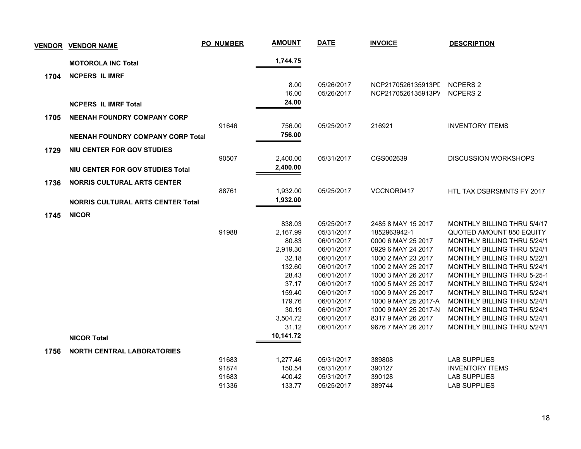| <b>VENDOR</b> | <b>VENDOR NAME</b>                       | PO_NUMBER | <b>AMOUNT</b> | <b>DATE</b> | <b>INVOICE</b>       | <b>DESCRIPTION</b>                 |
|---------------|------------------------------------------|-----------|---------------|-------------|----------------------|------------------------------------|
|               | <b>MOTOROLA INC Total</b>                |           | 1,744.75      |             |                      |                                    |
| 1704          | <b>NCPERS IL IMRF</b>                    |           |               |             |                      |                                    |
|               |                                          |           | 8.00          | 05/26/2017  | NCP2170526135913PI   | NCPERS 2                           |
|               |                                          |           | 16.00         | 05/26/2017  | NCP2170526135913PV   | <b>NCPERS 2</b>                    |
|               | <b>NCPERS IL IMRF Total</b>              |           | 24.00         |             |                      |                                    |
| 1705          | <b>NEENAH FOUNDRY COMPANY CORP</b>       |           |               |             |                      |                                    |
|               |                                          | 91646     | 756.00        | 05/25/2017  | 216921               | <b>INVENTORY ITEMS</b>             |
|               | <b>NEENAH FOUNDRY COMPANY CORP Total</b> |           | 756.00        |             |                      |                                    |
|               |                                          |           |               |             |                      |                                    |
| 1729          | NIU CENTER FOR GOV STUDIES               |           |               |             |                      |                                    |
|               |                                          | 90507     | 2,400.00      | 05/31/2017  | CGS002639            | <b>DISCUSSION WORKSHOPS</b>        |
|               | NIU CENTER FOR GOV STUDIES Total         |           | 2,400.00      |             |                      |                                    |
| 1736          | <b>NORRIS CULTURAL ARTS CENTER</b>       |           |               |             |                      |                                    |
|               |                                          | 88761     | 1,932.00      | 05/25/2017  | VCCNOR0417           | <b>HTL TAX DSBRSMNTS FY 2017</b>   |
|               | <b>NORRIS CULTURAL ARTS CENTER Total</b> |           | 1,932.00      |             |                      |                                    |
|               |                                          |           |               |             |                      |                                    |
| 1745          | <b>NICOR</b>                             |           |               |             |                      |                                    |
|               |                                          |           | 838.03        | 05/25/2017  | 2485 8 MAY 15 2017   | MONTHLY BILLING THRU 5/4/17        |
|               |                                          | 91988     | 2,167.99      | 05/31/2017  | 1852963942-1         | <b>QUOTED AMOUNT 850 EQUITY</b>    |
|               |                                          |           | 80.83         | 06/01/2017  | 0000 6 MAY 25 2017   | MONTHLY BILLING THRU 5/24/1        |
|               |                                          |           | 2,919.30      | 06/01/2017  | 0929 6 MAY 24 2017   | MONTHLY BILLING THRU 5/24/1        |
|               |                                          |           | 32.18         | 06/01/2017  | 1000 2 MAY 23 2017   | <b>MONTHLY BILLING THRU 5/22/1</b> |
|               |                                          |           | 132.60        | 06/01/2017  | 1000 2 MAY 25 2017   | <b>MONTHLY BILLING THRU 5/24/1</b> |
|               |                                          |           | 28.43         | 06/01/2017  | 1000 3 MAY 26 2017   | MONTHLY BILLING THRU 5-25-1        |
|               |                                          |           | 37.17         | 06/01/2017  | 1000 5 MAY 25 2017   | <b>MONTHLY BILLING THRU 5/24/1</b> |
|               |                                          |           | 159.40        | 06/01/2017  | 1000 9 MAY 25 2017   | MONTHLY BILLING THRU 5/24/1        |
|               |                                          |           | 179.76        | 06/01/2017  | 1000 9 MAY 25 2017-A | <b>MONTHLY BILLING THRU 5/24/1</b> |
|               |                                          |           | 30.19         | 06/01/2017  | 1000 9 MAY 25 2017-N | <b>MONTHLY BILLING THRU 5/24/1</b> |
|               |                                          |           | 3,504.72      | 06/01/2017  | 8317 9 MAY 26 2017   | <b>MONTHLY BILLING THRU 5/24/1</b> |
|               |                                          |           | 31.12         | 06/01/2017  | 9676 7 MAY 26 2017   | MONTHLY BILLING THRU 5/24/1        |
|               | <b>NICOR Total</b>                       |           | 10,141.72     |             |                      |                                    |
| 1756          | <b>NORTH CENTRAL LABORATORIES</b>        |           |               |             |                      |                                    |
|               |                                          | 91683     | 1,277.46      | 05/31/2017  | 389808               | <b>LAB SUPPLIES</b>                |
|               |                                          | 91874     | 150.54        | 05/31/2017  | 390127               | <b>INVENTORY ITEMS</b>             |
|               |                                          | 91683     | 400.42        | 05/31/2017  | 390128               | <b>LAB SUPPLIES</b>                |
|               |                                          | 91336     | 133.77        | 05/25/2017  | 389744               | <b>LAB SUPPLIES</b>                |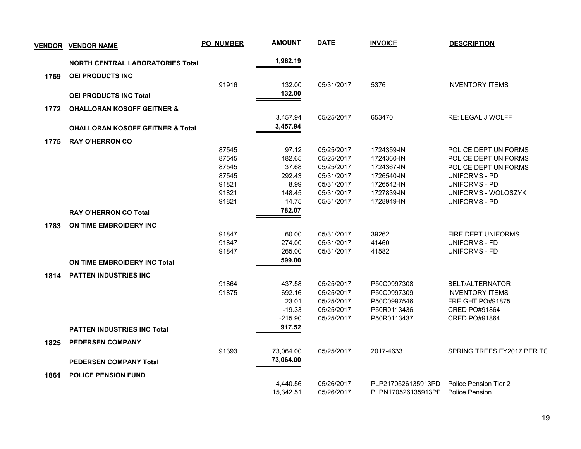|      | <b>VENDOR VENDOR NAME</b>                   | <b>PO_NUMBER</b> | <b>AMOUNT</b> | <b>DATE</b> | <b>INVOICE</b>     | <b>DESCRIPTION</b>         |
|------|---------------------------------------------|------------------|---------------|-------------|--------------------|----------------------------|
|      | <b>NORTH CENTRAL LABORATORIES Total</b>     |                  | 1,962.19      |             |                    |                            |
| 1769 | <b>OEI PRODUCTS INC</b>                     |                  |               |             |                    |                            |
|      |                                             | 91916            | 132.00        | 05/31/2017  | 5376               | <b>INVENTORY ITEMS</b>     |
|      | <b>OEI PRODUCTS INC Total</b>               |                  | 132.00        |             |                    |                            |
|      |                                             |                  |               |             |                    |                            |
| 1772 | <b>OHALLORAN KOSOFF GEITNER &amp;</b>       |                  |               |             |                    |                            |
|      |                                             |                  | 3,457.94      | 05/25/2017  | 653470             | <b>RE: LEGAL J WOLFF</b>   |
|      | <b>OHALLORAN KOSOFF GEITNER &amp; Total</b> |                  | 3,457.94      |             |                    |                            |
| 1775 | <b>RAY O'HERRON CO</b>                      |                  |               |             |                    |                            |
|      |                                             | 87545            | 97.12         | 05/25/2017  | 1724359-IN         | POLICE DEPT UNIFORMS       |
|      |                                             | 87545            | 182.65        | 05/25/2017  | 1724360-IN         | POLICE DEPT UNIFORMS       |
|      |                                             | 87545            | 37.68         | 05/25/2017  | 1724367-IN         | POLICE DEPT UNIFORMS       |
|      |                                             | 87545            | 292.43        | 05/31/2017  | 1726540-IN         | <b>UNIFORMS - PD</b>       |
|      |                                             | 91821            | 8.99          | 05/31/2017  | 1726542-IN         | <b>UNIFORMS - PD</b>       |
|      |                                             | 91821            | 148.45        | 05/31/2017  | 1727839-IN         | UNIFORMS - WOLOSZYK        |
|      |                                             | 91821            | 14.75         | 05/31/2017  | 1728949-IN         | <b>UNIFORMS - PD</b>       |
|      | <b>RAY O'HERRON CO Total</b>                |                  | 782.07        |             |                    |                            |
| 1783 | ON TIME EMBROIDERY INC                      |                  |               |             |                    |                            |
|      |                                             | 91847            | 60.00         | 05/31/2017  | 39262              | FIRE DEPT UNIFORMS         |
|      |                                             | 91847            | 274.00        | 05/31/2017  | 41460              | UNIFORMS - FD              |
|      |                                             | 91847            | 265.00        | 05/31/2017  | 41582              | <b>UNIFORMS - FD</b>       |
|      | ON TIME EMBROIDERY INC Total                |                  | 599.00        |             |                    |                            |
| 1814 | <b>PATTEN INDUSTRIES INC</b>                |                  |               |             |                    |                            |
|      |                                             | 91864            | 437.58        | 05/25/2017  | P50C0997308        | BELT/ALTERNATOR            |
|      |                                             | 91875            | 692.16        | 05/25/2017  | P50C0997309        | <b>INVENTORY ITEMS</b>     |
|      |                                             |                  | 23.01         | 05/25/2017  | P50C0997546        | FREIGHT PO#91875           |
|      |                                             |                  | $-19.33$      | 05/25/2017  | P50R0113436        | <b>CRED PO#91864</b>       |
|      |                                             |                  | $-215.90$     | 05/25/2017  | P50R0113437        | CRED PO#91864              |
|      | <b>PATTEN INDUSTRIES INC Total</b>          |                  | 917.52        |             |                    |                            |
| 1825 | <b>PEDERSEN COMPANY</b>                     |                  |               |             |                    |                            |
|      |                                             | 91393            | 73,064.00     | 05/25/2017  | 2017-4633          | SPRING TREES FY2017 PER TC |
|      | <b>PEDERSEN COMPANY Total</b>               |                  | 73,064.00     |             |                    |                            |
|      |                                             |                  |               |             |                    |                            |
| 1861 | <b>POLICE PENSION FUND</b>                  |                  | 4,440.56      | 05/26/2017  | PLP2170526135913PD | Police Pension Tier 2      |
|      |                                             |                  | 15,342.51     | 05/26/2017  | PLPN170526135913PD | <b>Police Pension</b>      |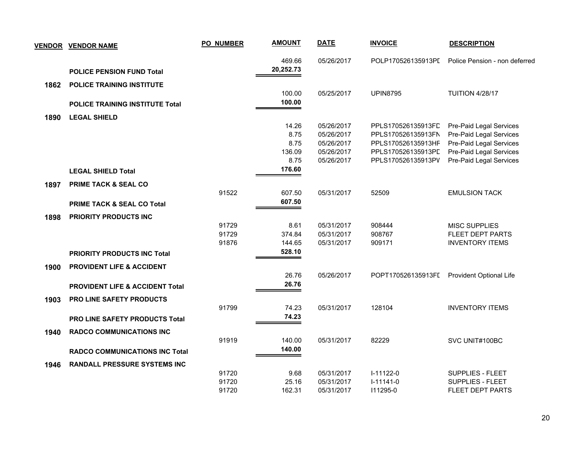| <b>VENDOR</b> | <b>VENDOR NAME</b>                         | <b>PO_NUMBER</b> | <b>AMOUNT</b> | <b>DATE</b>              | <b>INVOICE</b>                           | <b>DESCRIPTION</b>                                 |
|---------------|--------------------------------------------|------------------|---------------|--------------------------|------------------------------------------|----------------------------------------------------|
|               |                                            |                  | 469.66        | 05/26/2017               | POLP170526135913PI                       | Police Pension - non deferred                      |
|               | <b>POLICE PENSION FUND Total</b>           |                  | 20,252.73     |                          |                                          |                                                    |
| 1862          | <b>POLICE TRAINING INSTITUTE</b>           |                  |               |                          |                                          |                                                    |
|               |                                            |                  | 100.00        | 05/25/2017               | <b>UPIN8795</b>                          | <b>TUITION 4/28/17</b>                             |
|               | <b>POLICE TRAINING INSTITUTE Total</b>     |                  | 100.00        |                          |                                          |                                                    |
| 1890          | <b>LEGAL SHIELD</b>                        |                  |               |                          |                                          |                                                    |
|               |                                            |                  | 14.26         | 05/26/2017               | PPLS170526135913FD                       | Pre-Paid Legal Services                            |
|               |                                            |                  | 8.75<br>8.75  | 05/26/2017<br>05/26/2017 | PPLS170526135913FN<br>PPLS170526135913HF | Pre-Paid Legal Services<br>Pre-Paid Legal Services |
|               |                                            |                  | 136.09        | 05/26/2017               | PPLS170526135913PD                       | Pre-Paid Legal Services                            |
|               |                                            |                  | 8.75          | 05/26/2017               | PPLS170526135913PV                       | Pre-Paid Legal Services                            |
|               | <b>LEGAL SHIELD Total</b>                  |                  | 176.60        |                          |                                          |                                                    |
| 1897          | <b>PRIME TACK &amp; SEAL CO</b>            |                  |               |                          |                                          |                                                    |
|               |                                            | 91522            | 607.50        | 05/31/2017               | 52509                                    | <b>EMULSION TACK</b>                               |
|               | <b>PRIME TACK &amp; SEAL CO Total</b>      |                  | 607.50        |                          |                                          |                                                    |
| 1898          | <b>PRIORITY PRODUCTS INC</b>               |                  |               |                          |                                          |                                                    |
|               |                                            | 91729            | 8.61          | 05/31/2017               | 908444                                   | <b>MISC SUPPLIES</b>                               |
|               |                                            | 91729            | 374.84        | 05/31/2017               | 908767                                   | FLEET DEPT PARTS                                   |
|               |                                            | 91876            | 144.65        | 05/31/2017               | 909171                                   | <b>INVENTORY ITEMS</b>                             |
|               | <b>PRIORITY PRODUCTS INC Total</b>         |                  | 528.10        |                          |                                          |                                                    |
| 1900          | <b>PROVIDENT LIFE &amp; ACCIDENT</b>       |                  |               |                          |                                          |                                                    |
|               |                                            |                  | 26.76         | 05/26/2017               | POPT170526135913FI                       | Provident Optional Life                            |
|               | <b>PROVIDENT LIFE &amp; ACCIDENT Total</b> |                  | 26.76         |                          |                                          |                                                    |
| 1903          | PRO LINE SAFETY PRODUCTS                   |                  |               |                          |                                          |                                                    |
|               |                                            | 91799            | 74.23         | 05/31/2017               | 128104                                   | <b>INVENTORY ITEMS</b>                             |
|               | <b>PRO LINE SAFETY PRODUCTS Total</b>      |                  | 74.23         |                          |                                          |                                                    |
| 1940          | <b>RADCO COMMUNICATIONS INC</b>            |                  |               |                          |                                          |                                                    |
|               |                                            | 91919            | 140.00        | 05/31/2017               | 82229                                    | SVC UNIT#100BC                                     |
|               | <b>RADCO COMMUNICATIONS INC Total</b>      |                  | 140.00        |                          |                                          |                                                    |
| 1946          | <b>RANDALL PRESSURE SYSTEMS INC</b>        |                  |               |                          |                                          |                                                    |
|               |                                            | 91720            | 9.68          | 05/31/2017               | I-11122-0                                | <b>SUPPLIES - FLEET</b>                            |
|               |                                            | 91720            | 25.16         | 05/31/2017               | $I-11141-0$                              | SUPPLIES - FLEET                                   |
|               |                                            | 91720            | 162.31        | 05/31/2017               | 111295-0                                 | FLEET DEPT PARTS                                   |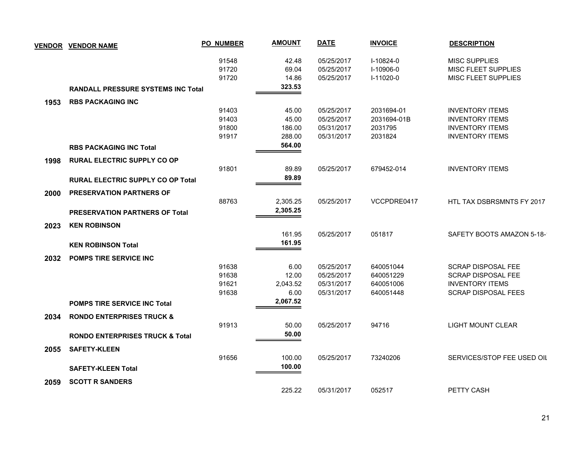|      | <b>VENDOR VENDOR NAME</b>                  | <b>PO_NUMBER</b> | <b>AMOUNT</b> | <b>DATE</b> | <b>INVOICE</b> | <b>DESCRIPTION</b>         |
|------|--------------------------------------------|------------------|---------------|-------------|----------------|----------------------------|
|      |                                            | 91548            | 42.48         | 05/25/2017  | $I-10824-0$    | <b>MISC SUPPLIES</b>       |
|      |                                            | 91720            | 69.04         | 05/25/2017  | I-10906-0      | MISC FLEET SUPPLIES        |
|      |                                            | 91720            | 14.86         | 05/25/2017  | I-11020-0      | <b>MISC FLEET SUPPLIES</b> |
|      | <b>RANDALL PRESSURE SYSTEMS INC Total</b>  |                  | 323.53        |             |                |                            |
| 1953 | <b>RBS PACKAGING INC</b>                   |                  |               |             |                |                            |
|      |                                            | 91403            | 45.00         | 05/25/2017  | 2031694-01     | <b>INVENTORY ITEMS</b>     |
|      |                                            | 91403            | 45.00         | 05/25/2017  | 2031694-01B    | <b>INVENTORY ITEMS</b>     |
|      |                                            | 91800            | 186.00        | 05/31/2017  | 2031795        | <b>INVENTORY ITEMS</b>     |
|      |                                            | 91917            | 288.00        | 05/31/2017  | 2031824        | <b>INVENTORY ITEMS</b>     |
|      | <b>RBS PACKAGING INC Total</b>             |                  | 564.00        |             |                |                            |
| 1998 | <b>RURAL ELECTRIC SUPPLY CO OP</b>         |                  |               |             |                |                            |
|      |                                            | 91801            | 89.89         | 05/25/2017  | 679452-014     | <b>INVENTORY ITEMS</b>     |
|      | <b>RURAL ELECTRIC SUPPLY CO OP Total</b>   |                  | 89.89         |             |                |                            |
| 2000 | <b>PRESERVATION PARTNERS OF</b>            |                  |               |             |                |                            |
|      |                                            | 88763            | 2,305.25      | 05/25/2017  | VCCPDRE0417    | HTL TAX DSBRSMNTS FY 2017  |
|      | <b>PRESERVATION PARTNERS OF Total</b>      |                  | 2,305.25      |             |                |                            |
| 2023 | <b>KEN ROBINSON</b>                        |                  |               |             |                |                            |
|      |                                            |                  | 161.95        | 05/25/2017  | 051817         | SAFETY BOOTS AMAZON 5-18-  |
|      | <b>KEN ROBINSON Total</b>                  |                  | 161.95        |             |                |                            |
| 2032 | <b>POMPS TIRE SERVICE INC.</b>             |                  |               |             |                |                            |
|      |                                            | 91638            | 6.00          | 05/25/2017  | 640051044      | <b>SCRAP DISPOSAL FEE</b>  |
|      |                                            | 91638            | 12.00         | 05/25/2017  | 640051229      | <b>SCRAP DISPOSAL FEE</b>  |
|      |                                            | 91621            | 2,043.52      | 05/31/2017  | 640051006      | <b>INVENTORY ITEMS</b>     |
|      |                                            | 91638            | 6.00          | 05/31/2017  | 640051448      | <b>SCRAP DISPOSAL FEES</b> |
|      | <b>POMPS TIRE SERVICE INC Total</b>        |                  | 2,067.52      |             |                |                            |
| 2034 | <b>RONDO ENTERPRISES TRUCK &amp;</b>       |                  |               |             |                |                            |
|      |                                            | 91913            | 50.00         | 05/25/2017  | 94716          | <b>LIGHT MOUNT CLEAR</b>   |
|      | <b>RONDO ENTERPRISES TRUCK &amp; Total</b> |                  | 50.00         |             |                |                            |
| 2055 | <b>SAFETY-KLEEN</b>                        |                  |               |             |                |                            |
|      |                                            | 91656            | 100.00        | 05/25/2017  | 73240206       | SERVICES/STOP FEE USED OIL |
|      | <b>SAFETY-KLEEN Total</b>                  |                  | 100.00        |             |                |                            |
| 2059 | <b>SCOTT R SANDERS</b>                     |                  |               |             |                |                            |
|      |                                            |                  | 225.22        | 05/31/2017  | 052517         | PETTY CASH                 |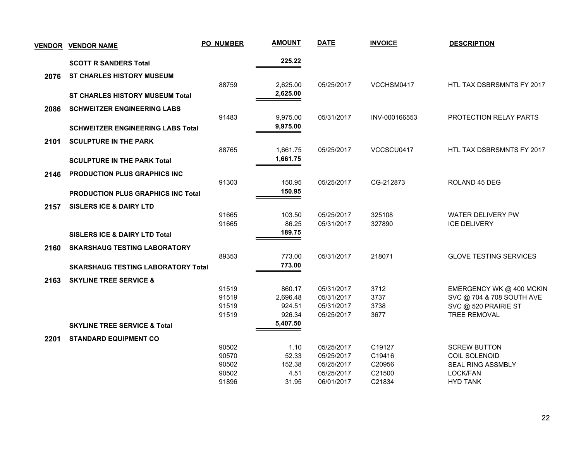|      | <b>VENDOR VENDOR NAME</b>                 | <b>PO_NUMBER</b> | <b>AMOUNT</b>        | <b>DATE</b>              | <b>INVOICE</b>   | <b>DESCRIPTION</b>            |
|------|-------------------------------------------|------------------|----------------------|--------------------------|------------------|-------------------------------|
|      | <b>SCOTT R SANDERS Total</b>              |                  | 225.22               |                          |                  |                               |
| 2076 | <b>ST CHARLES HISTORY MUSEUM</b>          |                  |                      |                          |                  |                               |
|      |                                           | 88759            | 2,625.00<br>2,625.00 | 05/25/2017               | VCCHSM0417       | HTL TAX DSBRSMNTS FY 2017     |
|      | <b>ST CHARLES HISTORY MUSEUM Total</b>    |                  |                      |                          |                  |                               |
| 2086 | <b>SCHWEITZER ENGINEERING LABS</b>        |                  |                      |                          |                  |                               |
|      |                                           | 91483            | 9,975.00             | 05/31/2017               | INV-000166553    | PROTECTION RELAY PARTS        |
|      | <b>SCHWEITZER ENGINEERING LABS Total</b>  |                  | 9,975.00             |                          |                  |                               |
| 2101 | <b>SCULPTURE IN THE PARK</b>              |                  |                      |                          |                  |                               |
|      |                                           | 88765            | 1,661.75             | 05/25/2017               | VCCSCU0417       | HTL TAX DSBRSMNTS FY 2017     |
|      | <b>SCULPTURE IN THE PARK Total</b>        |                  | 1,661.75             |                          |                  |                               |
| 2146 | <b>PRODUCTION PLUS GRAPHICS INC</b>       |                  |                      |                          |                  |                               |
|      |                                           | 91303            | 150.95               | 05/25/2017               | CG-212873        | ROLAND 45 DEG                 |
|      | <b>PRODUCTION PLUS GRAPHICS INC Total</b> |                  | 150.95               |                          |                  |                               |
| 2157 | <b>SISLERS ICE &amp; DAIRY LTD</b>        |                  |                      |                          |                  |                               |
|      |                                           | 91665            | 103.50               | 05/25/2017               | 325108           | WATER DELIVERY PW             |
|      |                                           | 91665            | 86.25                | 05/31/2017               | 327890           | <b>ICE DELIVERY</b>           |
|      | <b>SISLERS ICE &amp; DAIRY LTD Total</b>  |                  | 189.75               |                          |                  |                               |
| 2160 | <b>SKARSHAUG TESTING LABORATORY</b>       |                  |                      |                          |                  |                               |
|      |                                           | 89353            | 773.00               | 05/31/2017               | 218071           | <b>GLOVE TESTING SERVICES</b> |
|      | <b>SKARSHAUG TESTING LABORATORY Total</b> |                  | 773.00               |                          |                  |                               |
| 2163 | <b>SKYLINE TREE SERVICE &amp;</b>         |                  |                      |                          |                  |                               |
|      |                                           | 91519            | 860.17               | 05/31/2017               | 3712             | EMERGENCY WK @ 400 MCKIN      |
|      |                                           | 91519            | 2,696.48             | 05/31/2017               | 3737             | SVC @ 704 & 708 SOUTH AVE     |
|      |                                           | 91519            | 924.51               | 05/31/2017               | 3738             | SVC @ 520 PRAIRIE ST          |
|      |                                           | 91519            | 926.34               | 05/25/2017               | 3677             | <b>TREE REMOVAL</b>           |
|      | <b>SKYLINE TREE SERVICE &amp; Total</b>   |                  | 5,407.50             |                          |                  |                               |
| 2201 | <b>STANDARD EQUIPMENT CO</b>              |                  |                      |                          |                  |                               |
|      |                                           | 90502            | 1.10                 | 05/25/2017               | C19127           | <b>SCREW BUTTON</b>           |
|      |                                           | 90570            | 52.33                | 05/25/2017               | C19416           | COIL SOLENOID                 |
|      |                                           | 90502<br>90502   | 152.38<br>4.51       | 05/25/2017<br>05/25/2017 | C20956<br>C21500 | SEAL RING ASSMBLY             |
|      |                                           | 91896            | 31.95                | 06/01/2017               | C21834           | LOCK/FAN<br><b>HYD TANK</b>   |
|      |                                           |                  |                      |                          |                  |                               |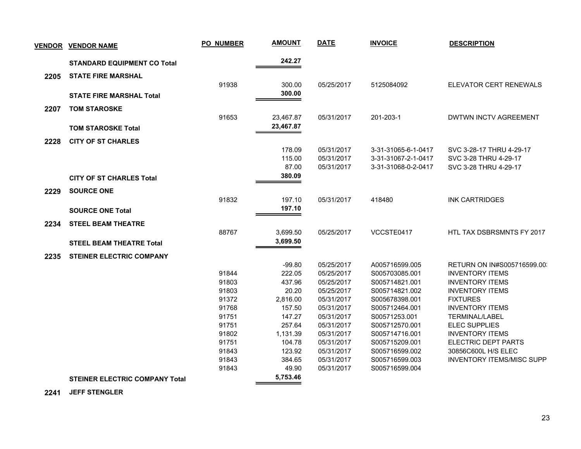| <b>VENDOR</b> | <b>VENDOR NAME</b>                    | <b>PO_NUMBER</b> | <b>AMOUNT</b>    | <b>DATE</b>              | <b>INVOICE</b>                   | <b>DESCRIPTION</b>                                      |
|---------------|---------------------------------------|------------------|------------------|--------------------------|----------------------------------|---------------------------------------------------------|
|               | <b>STANDARD EQUIPMENT CO Total</b>    |                  | 242.27           |                          |                                  |                                                         |
| 2205          | <b>STATE FIRE MARSHAL</b>             |                  |                  |                          |                                  |                                                         |
|               |                                       | 91938            | 300.00           | 05/25/2017               | 5125084092                       | ELEVATOR CERT RENEWALS                                  |
|               | <b>STATE FIRE MARSHAL Total</b>       |                  | 300.00           |                          |                                  |                                                         |
| 2207          | <b>TOM STAROSKE</b>                   |                  |                  |                          |                                  |                                                         |
|               |                                       | 91653            | 23,467.87        | 05/31/2017               | 201-203-1                        | DWTWN INCTV AGREEMENT                                   |
|               | <b>TOM STAROSKE Total</b>             |                  | 23,467.87        |                          |                                  |                                                         |
|               |                                       |                  |                  |                          |                                  |                                                         |
| 2228          | <b>CITY OF ST CHARLES</b>             |                  |                  |                          |                                  |                                                         |
|               |                                       |                  | 178.09           | 05/31/2017               | 3-31-31065-6-1-0417              | SVC 3-28-17 THRU 4-29-17                                |
|               |                                       |                  | 115.00           | 05/31/2017               | 3-31-31067-2-1-0417              | SVC 3-28 THRU 4-29-17                                   |
|               |                                       |                  | 87.00            | 05/31/2017               | 3-31-31068-0-2-0417              | SVC 3-28 THRU 4-29-17                                   |
|               | <b>CITY OF ST CHARLES Total</b>       |                  | 380.09           |                          |                                  |                                                         |
| 2229          | <b>SOURCE ONE</b>                     |                  |                  |                          |                                  |                                                         |
|               |                                       | 91832            | 197.10           | 05/31/2017               | 418480                           | <b>INK CARTRIDGES</b>                                   |
|               | <b>SOURCE ONE Total</b>               |                  | 197.10           |                          |                                  |                                                         |
|               |                                       |                  |                  |                          |                                  |                                                         |
| 2234          | <b>STEEL BEAM THEATRE</b>             | 88767            | 3,699.50         | 05/25/2017               | VCCSTE0417                       | HTL TAX DSBRSMNTS FY 2017                               |
|               |                                       |                  | 3,699.50         |                          |                                  |                                                         |
|               | <b>STEEL BEAM THEATRE Total</b>       |                  |                  |                          |                                  |                                                         |
| 2235          | <b>STEINER ELECTRIC COMPANY</b>       |                  |                  |                          |                                  |                                                         |
|               |                                       |                  | $-99.80$         | 05/25/2017               | A005716599.005                   | RETURN ON IN#S005716599.00.                             |
|               |                                       | 91844            | 222.05           | 05/25/2017               | S005703085.001                   | <b>INVENTORY ITEMS</b>                                  |
|               |                                       | 91803            | 437.96           | 05/25/2017               | S005714821.001                   | <b>INVENTORY ITEMS</b>                                  |
|               |                                       | 91803            | 20.20            | 05/25/2017               | S005714821.002                   | <b>INVENTORY ITEMS</b>                                  |
|               |                                       | 91372            | 2.816.00         | 05/31/2017               | S005678398.001                   | <b>FIXTURES</b>                                         |
|               |                                       | 91768            | 157.50           | 05/31/2017               | S005712464.001                   | <b>INVENTORY ITEMS</b>                                  |
|               |                                       | 91751            | 147.27           | 05/31/2017               | S00571253.001                    | <b>TERMINAL/LABEL</b>                                   |
|               |                                       | 91751            | 257.64           | 05/31/2017               | S005712570.001                   | <b>ELEC SUPPLIES</b>                                    |
|               |                                       | 91802            | 1,131.39         | 05/31/2017               | S005714716.001                   | <b>INVENTORY ITEMS</b>                                  |
|               |                                       | 91751            | 104.78           | 05/31/2017               | S005715209.001                   | ELECTRIC DEPT PARTS                                     |
|               |                                       | 91843<br>91843   | 123.92<br>384.65 | 05/31/2017<br>05/31/2017 | S005716599.002<br>S005716599.003 | 30856C600L H/S ELEC<br><b>INVENTORY ITEMS/MISC SUPP</b> |
|               |                                       | 91843            | 49.90            | 05/31/2017               | S005716599.004                   |                                                         |
|               |                                       |                  | 5,753.46         |                          |                                  |                                                         |
|               | <b>STEINER ELECTRIC COMPANY Total</b> |                  |                  |                          |                                  |                                                         |

 **2241 JEFF STENGLER**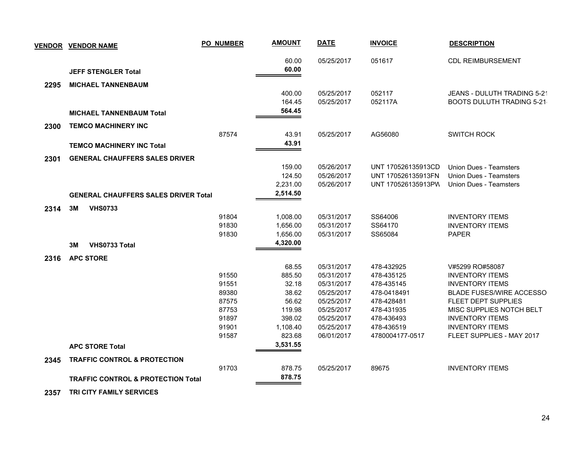|      | <u>VENDOR VENDOR NAME</u>                     | <b>PO_NUMBER</b> | <b>AMOUNT</b>      | <b>DATE</b> | <b>INVOICE</b>     | <b>DESCRIPTION</b>                                  |
|------|-----------------------------------------------|------------------|--------------------|-------------|--------------------|-----------------------------------------------------|
|      |                                               |                  | 60.00              | 05/25/2017  | 051617             | <b>CDL REIMBURSEMENT</b>                            |
|      | <b>JEFF STENGLER Total</b>                    |                  | 60.00              |             |                    |                                                     |
| 2295 | <b>MICHAEL TANNENBAUM</b>                     |                  |                    |             |                    |                                                     |
|      |                                               |                  | 400.00             | 05/25/2017  | 052117             | JEANS - DULUTH TRADING 5-21                         |
|      |                                               |                  | 164.45             | 05/25/2017  | 052117A            | <b>BOOTS DULUTH TRADING 5-21</b>                    |
|      | <b>MICHAEL TANNENBAUM Total</b>               |                  | 564.45             |             |                    |                                                     |
| 2300 | <b>TEMCO MACHINERY INC</b>                    |                  |                    |             |                    |                                                     |
|      |                                               | 87574            | 43.91              | 05/25/2017  | AG56080            | <b>SWITCH ROCK</b>                                  |
|      | <b>TEMCO MACHINERY INC Total</b>              |                  | 43.91              |             |                    |                                                     |
| 2301 | <b>GENERAL CHAUFFERS SALES DRIVER</b>         |                  |                    |             |                    |                                                     |
|      |                                               |                  | 159.00             | 05/26/2017  | UNT 170526135913CD | Union Dues - Teamsters                              |
|      |                                               |                  | 124.50             | 05/26/2017  | UNT 170526135913FN | <b>Union Dues - Teamsters</b>                       |
|      |                                               |                  | 2,231.00           | 05/26/2017  | UNT 170526135913PW | <b>Union Dues - Teamsters</b>                       |
|      | <b>GENERAL CHAUFFERS SALES DRIVER Total</b>   |                  | 2,514.50           |             |                    |                                                     |
| 2314 | 3M<br><b>VHS0733</b>                          |                  |                    |             |                    |                                                     |
|      |                                               | 91804            | 1,008.00           | 05/31/2017  | SS64006            | <b>INVENTORY ITEMS</b>                              |
|      |                                               | 91830            | 1,656.00           | 05/31/2017  | SS64170            | <b>INVENTORY ITEMS</b>                              |
|      |                                               | 91830            | 1,656.00           | 05/31/2017  | SS65084            | <b>PAPER</b>                                        |
|      | <b>VHS0733 Total</b><br>3M                    |                  | 4,320.00           |             |                    |                                                     |
| 2316 | <b>APC STORE</b>                              |                  |                    |             |                    |                                                     |
|      |                                               |                  | 68.55              | 05/31/2017  | 478-432925         | V#5299 RO#58087                                     |
|      |                                               | 91550            | 885.50             | 05/31/2017  | 478-435125         | <b>INVENTORY ITEMS</b>                              |
|      |                                               | 91551            | 32.18              | 05/31/2017  | 478-435145         | <b>INVENTORY ITEMS</b>                              |
|      |                                               | 89380            | 38.62              | 05/25/2017  | 478-0418491        | <b>BLADE FUSES/WIRE ACCESSO</b>                     |
|      |                                               | 87575            | 56.62              | 05/25/2017  | 478-428481         | <b>FLEET DEPT SUPPLIES</b>                          |
|      |                                               | 87753            | 119.98             | 05/25/2017  | 478-431935         | MISC SUPPLIES NOTCH BELT                            |
|      |                                               | 91897            | 398.02             | 05/25/2017  | 478-436493         | <b>INVENTORY ITEMS</b>                              |
|      |                                               | 91901<br>91587   | 1,108.40<br>823.68 | 05/25/2017  | 478-436519         | <b>INVENTORY ITEMS</b><br>FLEET SUPPLIES - MAY 2017 |
|      |                                               |                  | 3,531.55           | 06/01/2017  | 4780004177-0517    |                                                     |
|      | <b>APC STORE Total</b>                        |                  |                    |             |                    |                                                     |
| 2345 | <b>TRAFFIC CONTROL &amp; PROTECTION</b>       |                  |                    |             |                    |                                                     |
|      |                                               | 91703            | 878.75             | 05/25/2017  | 89675              | <b>INVENTORY ITEMS</b>                              |
|      | <b>TRAFFIC CONTROL &amp; PROTECTION Total</b> |                  | 878.75             |             |                    |                                                     |

 **2357 TRI CITY FAMILY SERVICES**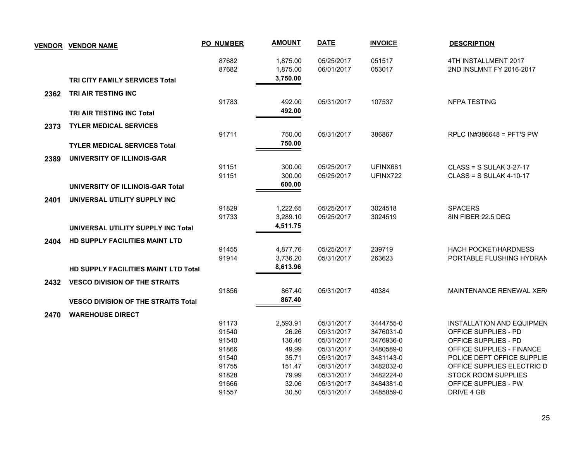| <b>VENDOR</b> | <b>VENDOR NAME</b>                          | <b>PO_NUMBER</b> | <b>AMOUNT</b>        | <b>DATE</b>              | <b>INVOICE</b>   | <b>DESCRIPTION</b>                               |
|---------------|---------------------------------------------|------------------|----------------------|--------------------------|------------------|--------------------------------------------------|
|               |                                             | 87682<br>87682   | 1,875.00<br>1,875.00 | 05/25/2017<br>06/01/2017 | 051517<br>053017 | 4TH INSTALLMENT 2017<br>2ND INSLMNT FY 2016-2017 |
|               | <b>TRI CITY FAMILY SERVICES Total</b>       |                  | 3,750.00             |                          |                  |                                                  |
| 2362          | TRI AIR TESTING INC                         |                  |                      |                          |                  |                                                  |
|               |                                             | 91783            | 492.00               | 05/31/2017               | 107537           | NFPA TESTING                                     |
|               | <b>TRI AIR TESTING INC Total</b>            |                  | 492.00               |                          |                  |                                                  |
| 2373          | <b>TYLER MEDICAL SERVICES</b>               |                  |                      |                          |                  |                                                  |
|               |                                             | 91711            | 750.00               | 05/31/2017               | 386867           | RPLC IN#386648 = PFT'S PW                        |
|               | <b>TYLER MEDICAL SERVICES Total</b>         |                  | 750.00               |                          |                  |                                                  |
| 2389          | UNIVERSITY OF ILLINOIS-GAR                  |                  |                      |                          |                  |                                                  |
|               |                                             | 91151            | 300.00               | 05/25/2017               | UFINX681         | $CLASS = S$ SULAK 3-27-17                        |
|               |                                             | 91151            | 300.00               | 05/25/2017               | UFINX722         | $CLASS = S$ SULAK 4-10-17                        |
|               | UNIVERSITY OF ILLINOIS-GAR Total            |                  | 600.00               |                          |                  |                                                  |
| 2401          | UNIVERSAL UTILITY SUPPLY INC                |                  |                      |                          |                  |                                                  |
|               |                                             | 91829            | 1,222.65             | 05/25/2017               | 3024518          | <b>SPACERS</b>                                   |
|               |                                             | 91733            | 3,289.10             | 05/25/2017               | 3024519          | 8IN FIBER 22.5 DEG                               |
|               | UNIVERSAL UTILITY SUPPLY INC Total          |                  | 4,511.75             |                          |                  |                                                  |
| 2404          | <b>HD SUPPLY FACILITIES MAINT LTD</b>       |                  |                      |                          |                  |                                                  |
|               |                                             | 91455            | 4,877.76             | 05/25/2017               | 239719           | <b>HACH POCKET/HARDNESS</b>                      |
|               |                                             | 91914            | 3,736.20             | 05/31/2017               | 263623           | PORTABLE FLUSHING HYDRAN                         |
|               | <b>HD SUPPLY FACILITIES MAINT LTD Total</b> |                  | 8,613.96             |                          |                  |                                                  |
| 2432          | <b>VESCO DIVISION OF THE STRAITS</b>        |                  |                      |                          |                  |                                                  |
|               |                                             | 91856            | 867.40               | 05/31/2017               | 40384            | MAINTENANCE RENEWAL XER                          |
|               | <b>VESCO DIVISION OF THE STRAITS Total</b>  |                  | 867.40               |                          |                  |                                                  |
| 2470          | <b>WAREHOUSE DIRECT</b>                     |                  |                      |                          |                  |                                                  |
|               |                                             | 91173            | 2,593.91             | 05/31/2017               | 3444755-0        | INSTALLATION AND EQUIPMEN                        |
|               |                                             | 91540            | 26.26                | 05/31/2017               | 3476031-0        | <b>OFFICE SUPPLIES - PD</b>                      |
|               |                                             | 91540            | 136.46               | 05/31/2017               | 3476936-0        | OFFICE SUPPLIES - PD                             |
|               |                                             | 91866            | 49.99                | 05/31/2017               | 3480589-0        | OFFICE SUPPLIES - FINANCE                        |
|               |                                             | 91540            | 35.71                | 05/31/2017               | 3481143-0        | POLICE DEPT OFFICE SUPPLIE                       |
|               |                                             | 91755            | 151.47               | 05/31/2017               | 3482032-0        | OFFICE SUPPLIES ELECTRIC D                       |
|               |                                             | 91828            | 79.99                | 05/31/2017               | 3482224-0        | <b>STOCK ROOM SUPPLIES</b>                       |
|               |                                             | 91666            | 32.06                | 05/31/2017               | 3484381-0        | OFFICE SUPPLIES - PW                             |
|               |                                             | 91557            | 30.50                | 05/31/2017               | 3485859-0        | DRIVE 4 GB                                       |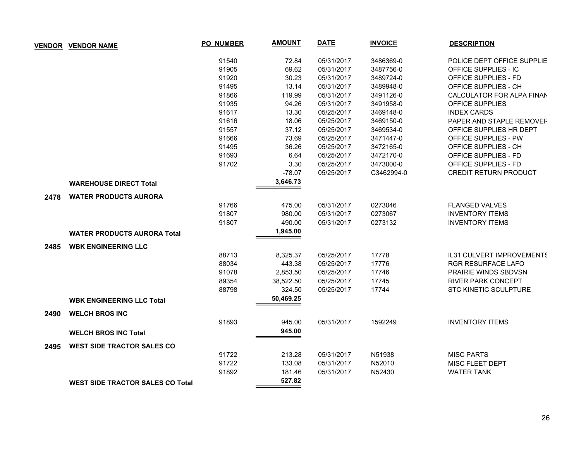|      | <b>VENDOR VENDOR NAME</b>               | <b>PO_NUMBER</b> | <b>AMOUNT</b> | <b>DATE</b> | <b>INVOICE</b> | <b>DESCRIPTION</b>           |
|------|-----------------------------------------|------------------|---------------|-------------|----------------|------------------------------|
|      |                                         | 91540            | 72.84         | 05/31/2017  | 3486369-0      | POLICE DEPT OFFICE SUPPLIE   |
|      |                                         | 91905            | 69.62         | 05/31/2017  | 3487756-0      | OFFICE SUPPLIES - IC         |
|      |                                         | 91920            | 30.23         | 05/31/2017  | 3489724-0      | <b>OFFICE SUPPLIES - FD</b>  |
|      |                                         | 91495            | 13.14         | 05/31/2017  | 3489948-0      | OFFICE SUPPLIES - CH         |
|      |                                         | 91866            | 119.99        | 05/31/2017  | 3491126-0      | CALCULATOR FOR ALPA FINAN    |
|      |                                         | 91935            | 94.26         | 05/31/2017  | 3491958-0      | OFFICE SUPPLIES              |
|      |                                         | 91617            | 13.30         | 05/25/2017  | 3469148-0      | <b>INDEX CARDS</b>           |
|      |                                         | 91616            | 18.06         | 05/25/2017  | 3469150-0      | PAPER AND STAPLE REMOVEF     |
|      |                                         | 91557            | 37.12         | 05/25/2017  | 3469534-0      | OFFICE SUPPLIES HR DEPT      |
|      |                                         | 91666            | 73.69         | 05/25/2017  | 3471447-0      | <b>OFFICE SUPPLIES - PW</b>  |
|      |                                         | 91495            | 36.26         | 05/25/2017  | 3472165-0      | OFFICE SUPPLIES - CH         |
|      |                                         | 91693            | 6.64          | 05/25/2017  | 3472170-0      | OFFICE SUPPLIES - FD         |
|      |                                         | 91702            | 3.30          | 05/25/2017  | 3473000-0      | OFFICE SUPPLIES - FD         |
|      |                                         |                  | $-78.07$      | 05/25/2017  | C3462994-0     | CREDIT RETURN PRODUCT        |
|      | <b>WAREHOUSE DIRECT Total</b>           |                  | 3,646.73      |             |                |                              |
| 2478 | <b>WATER PRODUCTS AURORA</b>            |                  |               |             |                |                              |
|      |                                         | 91766            | 475.00        | 05/31/2017  | 0273046        | <b>FLANGED VALVES</b>        |
|      |                                         | 91807            | 980.00        | 05/31/2017  | 0273067        | <b>INVENTORY ITEMS</b>       |
|      |                                         | 91807            | 490.00        | 05/31/2017  | 0273132        | <b>INVENTORY ITEMS</b>       |
|      | <b>WATER PRODUCTS AURORA Total</b>      |                  | 1,945.00      |             |                |                              |
| 2485 | <b>WBK ENGINEERING LLC</b>              |                  |               |             |                |                              |
|      |                                         | 88713            | 8,325.37      | 05/25/2017  | 17778          | IL31 CULVERT IMPROVEMENTS    |
|      |                                         | 88034            | 443.38        | 05/25/2017  | 17776          | <b>RGR RESURFACE LAFO</b>    |
|      |                                         | 91078            | 2,853.50      | 05/25/2017  | 17746          | <b>PRAIRIE WINDS SBDVSN</b>  |
|      |                                         | 89354            | 38,522.50     | 05/25/2017  | 17745          | <b>RIVER PARK CONCEPT</b>    |
|      |                                         | 88798            | 324.50        | 05/25/2017  | 17744          | <b>STC KINETIC SCULPTURE</b> |
|      | <b>WBK ENGINEERING LLC Total</b>        |                  | 50,469.25     |             |                |                              |
| 2490 | <b>WELCH BROS INC</b>                   |                  |               |             |                |                              |
|      |                                         | 91893            | 945.00        | 05/31/2017  | 1592249        | <b>INVENTORY ITEMS</b>       |
|      | <b>WELCH BROS INC Total</b>             |                  | 945.00        |             |                |                              |
| 2495 | <b>WEST SIDE TRACTOR SALES CO</b>       |                  |               |             |                |                              |
|      |                                         | 91722            | 213.28        | 05/31/2017  | N51938         | <b>MISC PARTS</b>            |
|      |                                         | 91722            | 133.08        | 05/31/2017  | N52010         | MISC FLEET DEPT              |
|      |                                         | 91892            | 181.46        | 05/31/2017  | N52430         | <b>WATER TANK</b>            |
|      | <b>WEST SIDE TRACTOR SALES CO Total</b> |                  | 527.82        |             |                |                              |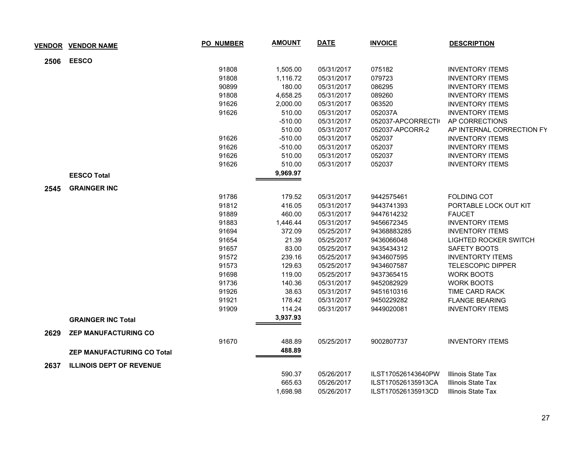|      | <b>VENDOR VENDOR NAME</b>         | <b>PO_NUMBER</b> | <b>AMOUNT</b> | <b>DATE</b> | <b>INVOICE</b>     | <b>DESCRIPTION</b>           |
|------|-----------------------------------|------------------|---------------|-------------|--------------------|------------------------------|
| 2506 | <b>EESCO</b>                      |                  |               |             |                    |                              |
|      |                                   | 91808            | 1,505.00      | 05/31/2017  | 075182             | <b>INVENTORY ITEMS</b>       |
|      |                                   | 91808            | 1,116.72      | 05/31/2017  | 079723             | <b>INVENTORY ITEMS</b>       |
|      |                                   | 90899            | 180.00        | 05/31/2017  | 086295             | <b>INVENTORY ITEMS</b>       |
|      |                                   | 91808            | 4,658.25      | 05/31/2017  | 089260             | <b>INVENTORY ITEMS</b>       |
|      |                                   | 91626            | 2,000.00      | 05/31/2017  | 063520             | <b>INVENTORY ITEMS</b>       |
|      |                                   | 91626            | 510.00        | 05/31/2017  | 052037A            | <b>INVENTORY ITEMS</b>       |
|      |                                   |                  | $-510.00$     | 05/31/2017  | 052037-APCORRECTI  | AP CORRECTIONS               |
|      |                                   |                  | 510.00        | 05/31/2017  | 052037-APCORR-2    | AP INTERNAL CORRECTION FY    |
|      |                                   | 91626            | $-510.00$     | 05/31/2017  | 052037             | <b>INVENTORY ITEMS</b>       |
|      |                                   | 91626            | $-510.00$     | 05/31/2017  | 052037             | <b>INVENTORY ITEMS</b>       |
|      |                                   | 91626            | 510.00        | 05/31/2017  | 052037             | <b>INVENTORY ITEMS</b>       |
|      |                                   | 91626            | 510.00        | 05/31/2017  | 052037             | <b>INVENTORY ITEMS</b>       |
|      | <b>EESCO Total</b>                |                  | 9,969.97      |             |                    |                              |
| 2545 | <b>GRAINGER INC</b>               |                  |               |             |                    |                              |
|      |                                   | 91786            | 179.52        | 05/31/2017  | 9442575461         | <b>FOLDING COT</b>           |
|      |                                   | 91812            | 416.05        | 05/31/2017  | 9443741393         | PORTABLE LOCK OUT KIT        |
|      |                                   | 91889            | 460.00        | 05/31/2017  | 9447614232         | <b>FAUCET</b>                |
|      |                                   | 91883            | 1,446.44      | 05/31/2017  | 9456672345         | <b>INVENTORY ITEMS</b>       |
|      |                                   | 91694            | 372.09        | 05/25/2017  | 94368883285        | <b>INVENTORY ITEMS</b>       |
|      |                                   | 91654            | 21.39         | 05/25/2017  | 9436066048         | <b>LIGHTED ROCKER SWITCH</b> |
|      |                                   | 91657            | 83.00         | 05/25/2017  | 9435434312         | SAFETY BOOTS                 |
|      |                                   | 91572            | 239.16        | 05/25/2017  | 9434607595         | <b>INVENTORTY ITEMS</b>      |
|      |                                   | 91573            | 129.63        | 05/25/2017  | 9434607587         | <b>TELESCOPIC DIPPER</b>     |
|      |                                   | 91698            | 119.00        | 05/25/2017  | 9437365415         | <b>WORK BOOTS</b>            |
|      |                                   | 91736            | 140.36        | 05/31/2017  | 9452082929         | <b>WORK BOOTS</b>            |
|      |                                   | 91926            | 38.63         | 05/31/2017  | 9451610316         | TIME CARD RACK               |
|      |                                   | 91921            | 178.42        | 05/31/2017  | 9450229282         | <b>FLANGE BEARING</b>        |
|      |                                   | 91909            | 114.24        | 05/31/2017  | 9449020081         | <b>INVENTORY ITEMS</b>       |
|      | <b>GRAINGER INC Total</b>         |                  | 3,937.93      |             |                    |                              |
| 2629 | <b>ZEP MANUFACTURING CO</b>       |                  |               |             |                    |                              |
|      |                                   | 91670            | 488.89        | 05/25/2017  | 9002807737         | <b>INVENTORY ITEMS</b>       |
|      | <b>ZEP MANUFACTURING CO Total</b> |                  | 488.89        |             |                    |                              |
| 2637 | <b>ILLINOIS DEPT OF REVENUE</b>   |                  |               |             |                    |                              |
|      |                                   |                  | 590.37        | 05/26/2017  | ILST170526143640PW | Illinois State Tax           |
|      |                                   |                  | 665.63        | 05/26/2017  | ILST170526135913CA | Illinois State Tax           |
|      |                                   |                  | 1,698.98      | 05/26/2017  | ILST170526135913CD | Illinois State Tax           |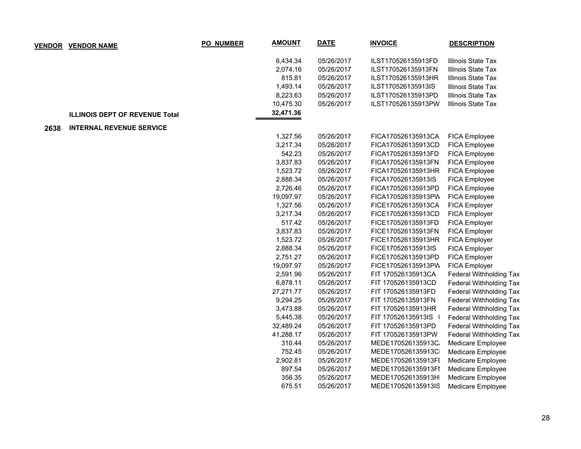|      | <b>VENDOR VENDOR NAME</b>             | <b>PO_NUMBER</b> | <b>AMOUNT</b> | <b>DATE</b> | <b>INVOICE</b>     | <b>DESCRIPTION</b>             |
|------|---------------------------------------|------------------|---------------|-------------|--------------------|--------------------------------|
|      |                                       |                  | 6,434.34      | 05/26/2017  | ILST170526135913FD | Illinois State Tax             |
|      |                                       |                  | 2,074.16      | 05/26/2017  | ILST170526135913FN | Illinois State Tax             |
|      |                                       |                  | 815.81        | 05/26/2017  | ILST170526135913HR | Illinois State Tax             |
|      |                                       |                  | 1,493.14      | 05/26/2017  | ILST170526135913IS | Illinois State Tax             |
|      |                                       |                  | 8,223.63      | 05/26/2017  | ILST170526135913PD | Illinois State Tax             |
|      |                                       |                  | 10,475.30     | 05/26/2017  | ILST170526135913PW | Illinois State Tax             |
|      | <b>ILLINOIS DEPT OF REVENUE Total</b> |                  | 32,471.36     |             |                    |                                |
| 2638 | <b>INTERNAL REVENUE SERVICE</b>       |                  |               |             |                    |                                |
|      |                                       |                  | 1,327.56      | 05/26/2017  | FICA170526135913CA | FICA Employee                  |
|      |                                       |                  | 3,217.34      | 05/26/2017  | FICA170526135913CD | FICA Employee                  |
|      |                                       |                  | 542.23        | 05/26/2017  | FICA170526135913FD | FICA Employee                  |
|      |                                       |                  | 3,837.83      | 05/26/2017  | FICA170526135913FN | FICA Employee                  |
|      |                                       |                  | 1,523.72      | 05/26/2017  | FICA170526135913HR | FICA Employee                  |
|      |                                       |                  | 2,888.34      | 05/26/2017  | FICA170526135913IS | FICA Employee                  |
|      |                                       |                  | 2,726.46      | 05/26/2017  | FICA170526135913PD | FICA Employee                  |
|      |                                       |                  | 19,097.97     | 05/26/2017  | FICA170526135913PW | FICA Employee                  |
|      |                                       |                  | 1,327.56      | 05/26/2017  | FICE170526135913CA | FICA Employer                  |
|      |                                       |                  | 3,217.34      | 05/26/2017  | FICE170526135913CD | FICA Employer                  |
|      |                                       |                  | 517.42        | 05/26/2017  | FICE170526135913FD | FICA Employer                  |
|      |                                       |                  | 3,837.83      | 05/26/2017  | FICE170526135913FN | FICA Employer                  |
|      |                                       |                  | 1,523.72      | 05/26/2017  | FICE170526135913HR | FICA Employer                  |
|      |                                       |                  | 2,888.34      | 05/26/2017  | FICE170526135913IS | FICA Employer                  |
|      |                                       |                  | 2,751.27      | 05/26/2017  | FICE170526135913PD | FICA Employer                  |
|      |                                       |                  | 19,097.97     | 05/26/2017  | FICE170526135913PW | FICA Employer                  |
|      |                                       |                  | 2,591.96      | 05/26/2017  | FIT 170526135913CA | <b>Federal Withholding Tax</b> |
|      |                                       |                  | 6,878.11      | 05/26/2017  | FIT 170526135913CD | Federal Withholding Tax        |
|      |                                       |                  | 27,271.77     | 05/26/2017  | FIT 170526135913FD | Federal Withholding Tax        |
|      |                                       |                  | 9,294.25      | 05/26/2017  | FIT 170526135913FN | <b>Federal Withholding Tax</b> |
|      |                                       |                  | 3,473.88      | 05/26/2017  | FIT 170526135913HR | <b>Federal Withholding Tax</b> |
|      |                                       |                  | 5,445.38      | 05/26/2017  | FIT 170526135913IS | Federal Withholding Tax        |
|      |                                       |                  | 32,489.24     | 05/26/2017  | FIT 170526135913PD | <b>Federal Withholding Tax</b> |
|      |                                       |                  | 41,288.17     | 05/26/2017  | FIT 170526135913PW | Federal Withholding Tax        |
|      |                                       |                  | 310.44        | 05/26/2017  | MEDE170526135913C. | Medicare Employee              |
|      |                                       |                  | 752.45        | 05/26/2017  | MEDE170526135913C  | Medicare Employee              |
|      |                                       |                  | 2,902.81      | 05/26/2017  | MEDE170526135913FI | Medicare Employee              |
|      |                                       |                  | 897.54        | 05/26/2017  | MEDE170526135913FI | Medicare Employee              |
|      |                                       |                  | 356.35        | 05/26/2017  | MEDE170526135913H  | Medicare Employee              |
|      |                                       |                  | 675.51        | 05/26/2017  | MEDE170526135913IS | Medicare Employee              |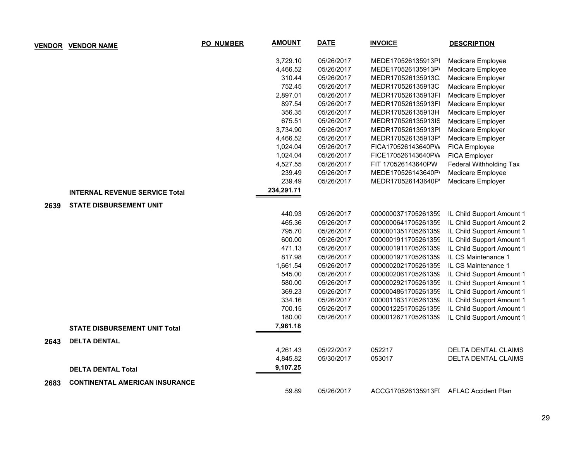|      | <b>VENDOR VENDOR NAME</b>             | <b>PO_NUMBER</b> | <b>AMOUNT</b> | <b>DATE</b> | <b>INVOICE</b>      | <b>DESCRIPTION</b>         |
|------|---------------------------------------|------------------|---------------|-------------|---------------------|----------------------------|
|      |                                       |                  | 3,729.10      | 05/26/2017  | MEDE170526135913PI  | Medicare Employee          |
|      |                                       |                  | 4,466.52      | 05/26/2017  | MEDE170526135913P   | Medicare Employee          |
|      |                                       |                  | 310.44        | 05/26/2017  | MEDR170526135913C   | Medicare Employer          |
|      |                                       |                  | 752.45        | 05/26/2017  | MEDR170526135913C   | Medicare Employer          |
|      |                                       |                  | 2,897.01      | 05/26/2017  | MEDR170526135913FI  | Medicare Employer          |
|      |                                       |                  | 897.54        | 05/26/2017  | MEDR170526135913FI  | Medicare Employer          |
|      |                                       |                  | 356.35        | 05/26/2017  | MEDR170526135913H   | Medicare Employer          |
|      |                                       |                  | 675.51        | 05/26/2017  | MEDR170526135913IS  | Medicare Employer          |
|      |                                       |                  | 3,734.90      | 05/26/2017  | MEDR170526135913P   | Medicare Employer          |
|      |                                       |                  | 4,466.52      | 05/26/2017  | MEDR170526135913P   | Medicare Employer          |
|      |                                       |                  | 1,024.04      | 05/26/2017  | FICA170526143640PW  | FICA Employee              |
|      |                                       |                  | 1,024.04      | 05/26/2017  | FICE170526143640PW  | FICA Employer              |
|      |                                       |                  | 4,527.55      | 05/26/2017  | FIT 170526143640PW  | Federal Withholding Tax    |
|      |                                       |                  | 239.49        | 05/26/2017  | MEDE170526143640P   | Medicare Employee          |
|      |                                       |                  | 239.49        | 05/26/2017  | MEDR170526143640P   | Medicare Employer          |
|      | <b>INTERNAL REVENUE SERVICE Total</b> |                  | 234,291.71    |             |                     |                            |
| 2639 | <b>STATE DISBURSEMENT UNIT</b>        |                  |               |             |                     |                            |
|      |                                       |                  | 440.93        | 05/26/2017  | 0000000371705261359 | IL Child Support Amount 1  |
|      |                                       |                  | 465.36        | 05/26/2017  | 0000000641705261359 | IL Child Support Amount 2  |
|      |                                       |                  | 795.70        | 05/26/2017  | 0000001351705261359 | IL Child Support Amount 1  |
|      |                                       |                  | 600.00        | 05/26/2017  | 0000001911705261359 | IL Child Support Amount 1  |
|      |                                       |                  | 471.13        | 05/26/2017  | 0000001911705261359 | IL Child Support Amount 1  |
|      |                                       |                  | 817.98        | 05/26/2017  | 0000001971705261359 | IL CS Maintenance 1        |
|      |                                       |                  | 1,661.54      | 05/26/2017  | 0000002021705261359 | IL CS Maintenance 1        |
|      |                                       |                  | 545.00        | 05/26/2017  | 0000002061705261359 | IL Child Support Amount 1  |
|      |                                       |                  | 580.00        | 05/26/2017  | 0000002921705261359 | IL Child Support Amount 1  |
|      |                                       |                  | 369.23        | 05/26/2017  | 0000004861705261359 | IL Child Support Amount 1  |
|      |                                       |                  | 334.16        | 05/26/2017  | 0000011631705261359 | IL Child Support Amount 1  |
|      |                                       |                  | 700.15        | 05/26/2017  | 0000012251705261359 | IL Child Support Amount 1  |
|      |                                       |                  | 180.00        | 05/26/2017  | 0000012671705261359 | IL Child Support Amount 1  |
|      | <b>STATE DISBURSEMENT UNIT Total</b>  |                  | 7,961.18      |             |                     |                            |
| 2643 | <b>DELTA DENTAL</b>                   |                  |               |             |                     |                            |
|      |                                       |                  | 4,261.43      | 05/22/2017  | 052217              | DELTA DENTAL CLAIMS        |
|      |                                       |                  | 4,845.82      | 05/30/2017  | 053017              | DELTA DENTAL CLAIMS        |
|      | <b>DELTA DENTAL Total</b>             |                  | 9,107.25      |             |                     |                            |
| 2683 | <b>CONTINENTAL AMERICAN INSURANCE</b> |                  |               |             |                     |                            |
|      |                                       |                  | 59.89         | 05/26/2017  | ACCG170526135913FI  | <b>AFLAC Accident Plan</b> |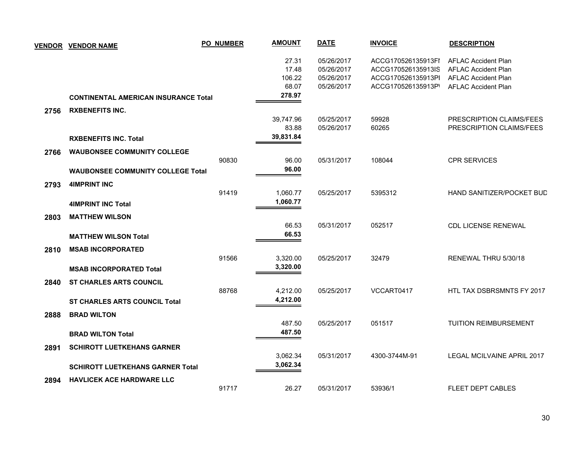| <b>VENDOR</b> | <b>VENDOR NAME</b>                                                             | <b>PO_NUMBER</b> | <b>AMOUNT</b>                               | <b>DATE</b>                                          | <b>INVOICE</b>                                                                       | <b>DESCRIPTION</b>                                                                                                   |
|---------------|--------------------------------------------------------------------------------|------------------|---------------------------------------------|------------------------------------------------------|--------------------------------------------------------------------------------------|----------------------------------------------------------------------------------------------------------------------|
|               | <b>CONTINENTAL AMERICAN INSURANCE Total</b>                                    |                  | 27.31<br>17.48<br>106.22<br>68.07<br>278.97 | 05/26/2017<br>05/26/2017<br>05/26/2017<br>05/26/2017 | ACCG170526135913FI<br>ACCG170526135913IS<br>ACCG170526135913Pl<br>ACCG170526135913P' | <b>AFLAC Accident Plan</b><br><b>AFLAC Accident Plan</b><br><b>AFLAC Accident Plan</b><br><b>AFLAC Accident Plan</b> |
|               | <b>RXBENEFITS INC.</b>                                                         |                  |                                             |                                                      |                                                                                      |                                                                                                                      |
| 2756          | <b>RXBENEFITS INC. Total</b>                                                   |                  | 39,747.96<br>83.88<br>39,831.84             | 05/25/2017<br>05/26/2017                             | 59928<br>60265                                                                       | <b>PRESCRIPTION CLAIMS/FEES</b><br>PRESCRIPTION CLAIMS/FEES                                                          |
| 2766          | <b>WAUBONSEE COMMUNITY COLLEGE</b><br><b>WAUBONSEE COMMUNITY COLLEGE Total</b> | 90830            | 96.00<br>96.00                              | 05/31/2017                                           | 108044                                                                               | <b>CPR SERVICES</b>                                                                                                  |
| 2793          | <b>4IMPRINT INC</b>                                                            | 91419            | 1,060.77                                    | 05/25/2017                                           | 5395312                                                                              | HAND SANITIZER/POCKET BUD                                                                                            |
| 2803          | <b>4IMPRINT INC Total</b><br><b>MATTHEW WILSON</b>                             |                  | 1,060.77<br>66.53                           | 05/31/2017                                           | 052517                                                                               | <b>CDL LICENSE RENEWAL</b>                                                                                           |
| 2810          | <b>MATTHEW WILSON Total</b><br><b>MSAB INCORPORATED</b>                        |                  | 66.53                                       |                                                      |                                                                                      |                                                                                                                      |
|               | <b>MSAB INCORPORATED Total</b>                                                 | 91566            | 3,320.00<br>3,320.00                        | 05/25/2017                                           | 32479                                                                                | RENEWAL THRU 5/30/18                                                                                                 |
| 2840          | <b>ST CHARLES ARTS COUNCIL</b>                                                 | 88768            | 4,212.00<br>4,212.00                        | 05/25/2017                                           | VCCART0417                                                                           | HTL TAX DSBRSMNTS FY 2017                                                                                            |
| 2888          | <b>ST CHARLES ARTS COUNCIL Total</b><br><b>BRAD WILTON</b>                     |                  | 487.50                                      | 05/25/2017                                           | 051517                                                                               | <b>TUITION REIMBURSEMENT</b>                                                                                         |
| 2891          | <b>BRAD WILTON Total</b><br><b>SCHIROTT LUETKEHANS GARNER</b>                  |                  | 487.50                                      |                                                      |                                                                                      |                                                                                                                      |
|               | <b>SCHIROTT LUETKEHANS GARNER Total</b>                                        |                  | 3,062.34<br>3,062.34                        | 05/31/2017                                           | 4300-3744M-91                                                                        | LEGAL MCILVAINE APRIL 2017                                                                                           |
| 2894          | <b>HAVLICEK ACE HARDWARE LLC</b>                                               | 91717            | 26.27                                       | 05/31/2017                                           | 53936/1                                                                              | <b>FLEET DEPT CABLES</b>                                                                                             |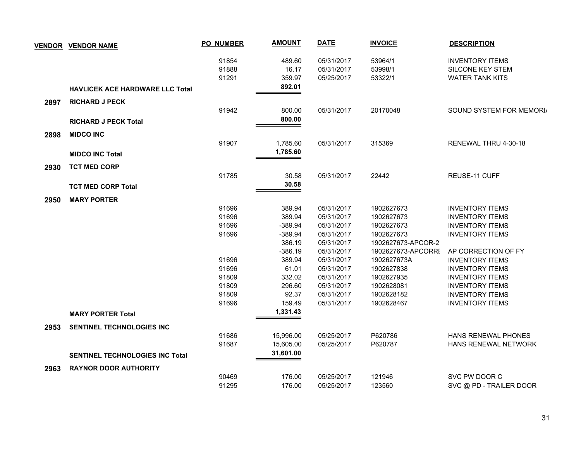|      | <b>VENDOR VENDOR NAME</b>              | PO_NUMBER               | <b>AMOUNT</b>             | <b>DATE</b>                            | <b>INVOICE</b>                | <b>DESCRIPTION</b>                                                          |
|------|----------------------------------------|-------------------------|---------------------------|----------------------------------------|-------------------------------|-----------------------------------------------------------------------------|
|      |                                        | 91854<br>91888<br>91291 | 489.60<br>16.17<br>359.97 | 05/31/2017<br>05/31/2017<br>05/25/2017 | 53964/1<br>53998/1<br>53322/1 | <b>INVENTORY ITEMS</b><br><b>SILCONE KEY STEM</b><br><b>WATER TANK KITS</b> |
|      | <b>HAVLICEK ACE HARDWARE LLC Total</b> |                         | 892.01                    |                                        |                               |                                                                             |
| 2897 | <b>RICHARD J PECK</b>                  |                         |                           |                                        |                               |                                                                             |
|      |                                        | 91942                   | 800.00                    | 05/31/2017                             | 20170048                      | SOUND SYSTEM FOR MEMORI                                                     |
|      | <b>RICHARD J PECK Total</b>            |                         | 800.00                    |                                        |                               |                                                                             |
| 2898 | <b>MIDCO INC</b>                       |                         |                           |                                        |                               |                                                                             |
|      |                                        | 91907                   | 1,785.60                  | 05/31/2017                             | 315369                        | RENEWAL THRU 4-30-18                                                        |
|      | <b>MIDCO INC Total</b>                 |                         | 1,785.60                  |                                        |                               |                                                                             |
| 2930 | <b>TCT MED CORP</b>                    |                         |                           |                                        |                               |                                                                             |
|      |                                        | 91785                   | 30.58                     | 05/31/2017                             | 22442                         | REUSE-11 CUFF                                                               |
|      | <b>TCT MED CORP Total</b>              |                         | 30.58                     |                                        |                               |                                                                             |
|      |                                        |                         |                           |                                        |                               |                                                                             |
| 2950 | <b>MARY PORTER</b>                     | 91696                   | 389.94                    | 05/31/2017                             | 1902627673                    | <b>INVENTORY ITEMS</b>                                                      |
|      |                                        | 91696                   | 389.94                    | 05/31/2017                             | 1902627673                    | <b>INVENTORY ITEMS</b>                                                      |
|      |                                        | 91696                   | $-389.94$                 | 05/31/2017                             | 1902627673                    | <b>INVENTORY ITEMS</b>                                                      |
|      |                                        | 91696                   | $-389.94$                 | 05/31/2017                             | 1902627673                    | <b>INVENTORY ITEMS</b>                                                      |
|      |                                        |                         | 386.19                    | 05/31/2017                             | 1902627673-APCOR-2            |                                                                             |
|      |                                        |                         | $-386.19$                 | 05/31/2017                             | 1902627673-APCORRI            | AP CORRECTION OF FY                                                         |
|      |                                        | 91696                   | 389.94                    | 05/31/2017                             | 1902627673A                   | <b>INVENTORY ITEMS</b>                                                      |
|      |                                        | 91696                   | 61.01                     | 05/31/2017                             | 1902627838                    | <b>INVENTORY ITEMS</b>                                                      |
|      |                                        | 91809                   | 332.02                    | 05/31/2017                             | 1902627935                    | <b>INVENTORY ITEMS</b>                                                      |
|      |                                        | 91809                   | 296.60                    | 05/31/2017                             | 1902628081                    | <b>INVENTORY ITEMS</b>                                                      |
|      |                                        | 91809                   | 92.37                     | 05/31/2017                             | 1902628182                    | <b>INVENTORY ITEMS</b>                                                      |
|      |                                        | 91696                   | 159.49                    | 05/31/2017                             | 1902628467                    | <b>INVENTORY ITEMS</b>                                                      |
|      | <b>MARY PORTER Total</b>               |                         | 1,331.43                  |                                        |                               |                                                                             |
| 2953 | <b>SENTINEL TECHNOLOGIES INC</b>       |                         |                           |                                        |                               |                                                                             |
|      |                                        | 91686                   | 15,996.00                 | 05/25/2017                             | P620786                       | HANS RENEWAL PHONES                                                         |
|      |                                        | 91687                   | 15,605.00                 | 05/25/2017                             | P620787                       | HANS RENEWAL NETWORK                                                        |
|      | <b>SENTINEL TECHNOLOGIES INC Total</b> |                         | 31,601.00                 |                                        |                               |                                                                             |
| 2963 | <b>RAYNOR DOOR AUTHORITY</b>           |                         |                           |                                        |                               |                                                                             |
|      |                                        | 90469                   | 176.00                    | 05/25/2017                             | 121946                        | SVC PW DOOR C                                                               |
|      |                                        | 91295                   | 176.00                    | 05/25/2017                             | 123560                        | SVC @ PD - TRAILER DOOR                                                     |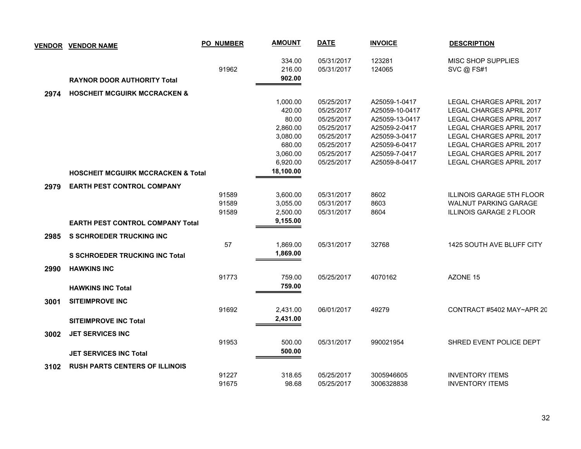|      | <b>VENDOR VENDOR NAME</b>                      | <b>PO_NUMBER</b>        | <b>AMOUNT</b>                                                 | <b>DATE</b>                                                                      | <b>INVOICE</b>                                                                                       | <b>DESCRIPTION</b>                                                                                                                                                                 |
|------|------------------------------------------------|-------------------------|---------------------------------------------------------------|----------------------------------------------------------------------------------|------------------------------------------------------------------------------------------------------|------------------------------------------------------------------------------------------------------------------------------------------------------------------------------------|
|      | <b>RAYNOR DOOR AUTHORITY Total</b>             | 91962                   | 334.00<br>216.00<br>902.00                                    | 05/31/2017<br>05/31/2017                                                         | 123281<br>124065                                                                                     | MISC SHOP SUPPLIES<br>SVC @ FS#1                                                                                                                                                   |
| 2974 | <b>HOSCHEIT MCGUIRK MCCRACKEN &amp;</b>        |                         |                                                               |                                                                                  |                                                                                                      |                                                                                                                                                                                    |
|      |                                                |                         | 1,000.00<br>420.00<br>80.00<br>2,860.00<br>3,080.00<br>680.00 | 05/25/2017<br>05/25/2017<br>05/25/2017<br>05/25/2017<br>05/25/2017<br>05/25/2017 | A25059-1-0417<br>A25059-10-0417<br>A25059-13-0417<br>A25059-2-0417<br>A25059-3-0417<br>A25059-6-0417 | LEGAL CHARGES APRIL 2017<br>LEGAL CHARGES APRIL 2017<br>LEGAL CHARGES APRIL 2017<br><b>LEGAL CHARGES APRIL 2017</b><br><b>LEGAL CHARGES APRIL 2017</b><br>LEGAL CHARGES APRIL 2017 |
|      |                                                |                         | 3,060.00<br>6,920.00                                          | 05/25/2017<br>05/25/2017                                                         | A25059-7-0417<br>A25059-8-0417                                                                       | LEGAL CHARGES APRIL 2017<br>LEGAL CHARGES APRIL 2017                                                                                                                               |
|      | <b>HOSCHEIT MCGUIRK MCCRACKEN &amp; Total</b>  |                         | 18,100.00                                                     |                                                                                  |                                                                                                      |                                                                                                                                                                                    |
|      |                                                |                         |                                                               |                                                                                  |                                                                                                      |                                                                                                                                                                                    |
| 2979 | <b>EARTH PEST CONTROL COMPANY</b>              | 91589<br>91589<br>91589 | 3,600.00<br>3,055.00<br>2,500.00                              | 05/31/2017<br>05/31/2017<br>05/31/2017                                           | 8602<br>8603<br>8604                                                                                 | <b>ILLINOIS GARAGE 5TH FLOOR</b><br><b>WALNUT PARKING GARAGE</b><br><b>ILLINOIS GARAGE 2 FLOOR</b>                                                                                 |
|      | <b>EARTH PEST CONTROL COMPANY Total</b>        |                         | 9,155.00                                                      |                                                                                  |                                                                                                      |                                                                                                                                                                                    |
| 2985 | <b>S SCHROEDER TRUCKING INC</b>                |                         |                                                               |                                                                                  |                                                                                                      |                                                                                                                                                                                    |
|      | <b>S SCHROEDER TRUCKING INC Total</b>          | 57                      | 1,869.00<br>1,869.00                                          | 05/31/2017                                                                       | 32768                                                                                                | 1425 SOUTH AVE BLUFF CITY                                                                                                                                                          |
| 2990 | <b>HAWKINS INC</b><br><b>HAWKINS INC Total</b> | 91773                   | 759.00<br>759.00                                              | 05/25/2017                                                                       | 4070162                                                                                              | AZONE 15                                                                                                                                                                           |
| 3001 | <b>SITEIMPROVE INC</b>                         | 91692                   | 2,431.00                                                      | 06/01/2017                                                                       | 49279                                                                                                | CONTRACT #5402 MAY~APR 20                                                                                                                                                          |
|      | <b>SITEIMPROVE INC Total</b>                   |                         | 2,431.00                                                      |                                                                                  |                                                                                                      |                                                                                                                                                                                    |
| 3002 | <b>JET SERVICES INC</b>                        | 91953                   | 500.00                                                        | 05/31/2017                                                                       | 990021954                                                                                            | SHRED EVENT POLICE DEPT                                                                                                                                                            |
|      | <b>JET SERVICES INC Total</b>                  |                         | 500.00                                                        |                                                                                  |                                                                                                      |                                                                                                                                                                                    |
| 3102 | <b>RUSH PARTS CENTERS OF ILLINOIS</b>          |                         |                                                               |                                                                                  |                                                                                                      |                                                                                                                                                                                    |
|      |                                                | 91227<br>91675          | 318.65<br>98.68                                               | 05/25/2017<br>05/25/2017                                                         | 3005946605<br>3006328838                                                                             | <b>INVENTORY ITEMS</b><br><b>INVENTORY ITEMS</b>                                                                                                                                   |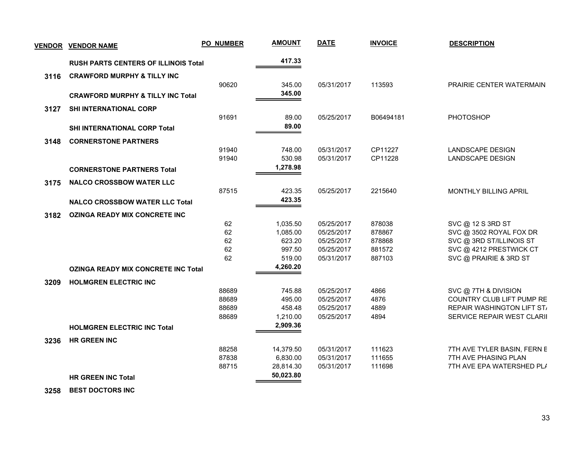| <b>VENDOR</b> | <b>VENDOR NAME</b>                           | PO_NUMBER | <b>AMOUNT</b> | <b>DATE</b> | <b>INVOICE</b> | <b>DESCRIPTION</b>          |
|---------------|----------------------------------------------|-----------|---------------|-------------|----------------|-----------------------------|
|               | <b>RUSH PARTS CENTERS OF ILLINOIS Total</b>  |           | 417.33        |             |                |                             |
| 3116          | <b>CRAWFORD MURPHY &amp; TILLY INC</b>       |           |               |             |                |                             |
|               |                                              | 90620     | 345.00        | 05/31/2017  | 113593         | PRAIRIE CENTER WATERMAIN    |
|               | <b>CRAWFORD MURPHY &amp; TILLY INC Total</b> |           | 345.00        |             |                |                             |
| 3127          | <b>SHI INTERNATIONAL CORP</b>                |           |               |             |                |                             |
|               |                                              | 91691     | 89.00         | 05/25/2017  | B06494181      | PHOTOSHOP                   |
|               | SHI INTERNATIONAL CORP Total                 |           | 89.00         |             |                |                             |
| 3148          | <b>CORNERSTONE PARTNERS</b>                  |           |               |             |                |                             |
|               |                                              | 91940     | 748.00        | 05/31/2017  | CP11227        | <b>LANDSCAPE DESIGN</b>     |
|               |                                              | 91940     | 530.98        | 05/31/2017  | CP11228        | <b>LANDSCAPE DESIGN</b>     |
|               | <b>CORNERSTONE PARTNERS Total</b>            |           | 1,278.98      |             |                |                             |
| 3175          | <b>NALCO CROSSBOW WATER LLC</b>              |           |               |             |                |                             |
|               |                                              | 87515     | 423.35        | 05/25/2017  | 2215640        | MONTHLY BILLING APRIL       |
|               | <b>NALCO CROSSBOW WATER LLC Total</b>        |           | 423.35        |             |                |                             |
| 3182          | <b>OZINGA READY MIX CONCRETE INC</b>         |           |               |             |                |                             |
|               |                                              | 62        | 1,035.50      | 05/25/2017  | 878038         | SVC @ 12 S 3RD ST           |
|               |                                              | 62        | 1,085.00      | 05/25/2017  | 878867         | SVC @ 3502 ROYAL FOX DR     |
|               |                                              | 62        | 623.20        | 05/25/2017  | 878868         | SVC @ 3RD ST/ILLINOIS ST    |
|               |                                              | 62        | 997.50        | 05/25/2017  | 881572         | SVC @ 4212 PRESTWICK CT     |
|               |                                              | 62        | 519.00        | 05/31/2017  | 887103         | SVC @ PRAIRIE & 3RD ST      |
|               | <b>OZINGA READY MIX CONCRETE INC Total</b>   |           | 4,260.20      |             |                |                             |
| 3209          | <b>HOLMGREN ELECTRIC INC</b>                 |           |               |             |                |                             |
|               |                                              | 88689     | 745.88        | 05/25/2017  | 4866           | SVC @ 7TH & DIVISION        |
|               |                                              | 88689     | 495.00        | 05/25/2017  | 4876           | COUNTRY CLUB LIFT PUMP RE   |
|               |                                              | 88689     | 458.48        | 05/25/2017  | 4889           | REPAIR WASHINGTON LIFT ST/  |
|               |                                              | 88689     | 1,210.00      | 05/25/2017  | 4894           | SERVICE REPAIR WEST CLARII  |
|               | <b>HOLMGREN ELECTRIC INC Total</b>           |           | 2,909.36      |             |                |                             |
| 3236          | <b>HR GREEN INC</b>                          |           |               |             |                |                             |
|               |                                              | 88258     | 14,379.50     | 05/31/2017  | 111623         | 7TH AVE TYLER BASIN, FERN E |
|               |                                              | 87838     | 6,830.00      | 05/31/2017  | 111655         | 7TH AVE PHASING PLAN        |
|               |                                              | 88715     | 28,814.30     | 05/31/2017  | 111698         | 7TH AVE EPA WATERSHED PL/   |
|               | <b>HR GREEN INC Total</b>                    |           | 50,023.80     |             |                |                             |

 **3258 BEST DOCTORS INC**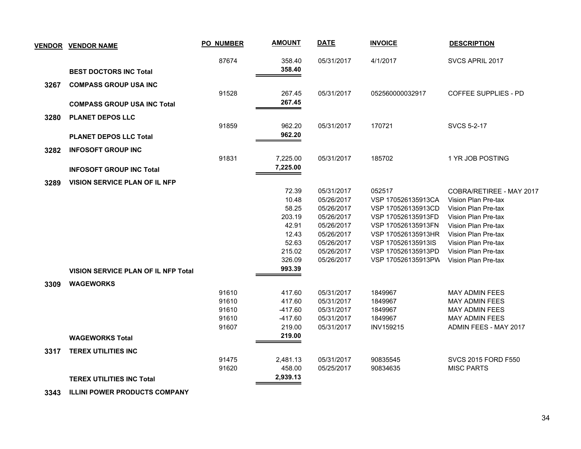| <b>VENDOR</b> | <b>VENDOR NAME</b>                         | <b>PO_NUMBER</b> | <b>AMOUNT</b> | <b>DATE</b> | <b>INVOICE</b>     | <b>DESCRIPTION</b>          |
|---------------|--------------------------------------------|------------------|---------------|-------------|--------------------|-----------------------------|
|               |                                            | 87674            | 358.40        | 05/31/2017  | 4/1/2017           | SVCS APRIL 2017             |
|               | <b>BEST DOCTORS INC Total</b>              |                  | 358.40        |             |                    |                             |
| 3267          | <b>COMPASS GROUP USA INC</b>               | 91528            | 267.45        | 05/31/2017  | 052560000032917    | <b>COFFEE SUPPLIES - PD</b> |
|               | <b>COMPASS GROUP USA INC Total</b>         |                  | 267.45        |             |                    |                             |
| 3280          | <b>PLANET DEPOS LLC</b>                    |                  |               |             |                    |                             |
|               |                                            | 91859            | 962.20        | 05/31/2017  | 170721             | <b>SVCS 5-2-17</b>          |
|               | <b>PLANET DEPOS LLC Total</b>              |                  | 962.20        |             |                    |                             |
| 3282          | <b>INFOSOFT GROUP INC</b>                  |                  |               |             |                    |                             |
|               |                                            | 91831            | 7,225.00      | 05/31/2017  | 185702             | 1 YR JOB POSTING            |
|               | <b>INFOSOFT GROUP INC Total</b>            |                  | 7,225.00      |             |                    |                             |
| 3289          | <b>VISION SERVICE PLAN OF IL NFP</b>       |                  |               |             |                    |                             |
|               |                                            |                  | 72.39         | 05/31/2017  | 052517             | COBRA/RETIREE - MAY 2017    |
|               |                                            |                  | 10.48         | 05/26/2017  | VSP 170526135913CA | Vision Plan Pre-tax         |
|               |                                            |                  | 58.25         | 05/26/2017  | VSP 170526135913CD | Vision Plan Pre-tax         |
|               |                                            |                  | 203.19        | 05/26/2017  | VSP 170526135913FD | Vision Plan Pre-tax         |
|               |                                            |                  | 42.91         | 05/26/2017  | VSP 170526135913FN | Vision Plan Pre-tax         |
|               |                                            |                  | 12.43         | 05/26/2017  | VSP 170526135913HR | Vision Plan Pre-tax         |
|               |                                            |                  | 52.63         | 05/26/2017  | VSP 170526135913IS | Vision Plan Pre-tax         |
|               |                                            |                  | 215.02        | 05/26/2017  | VSP 170526135913PD | Vision Plan Pre-tax         |
|               |                                            |                  | 326.09        | 05/26/2017  | VSP 170526135913PW | Vision Plan Pre-tax         |
|               | <b>VISION SERVICE PLAN OF IL NFP Total</b> |                  | 993.39        |             |                    |                             |
| 3309          | <b>WAGEWORKS</b>                           |                  |               |             |                    |                             |
|               |                                            | 91610            | 417.60        | 05/31/2017  | 1849967            | <b>MAY ADMIN FEES</b>       |
|               |                                            | 91610            | 417.60        | 05/31/2017  | 1849967            | <b>MAY ADMIN FEES</b>       |
|               |                                            | 91610            | $-417.60$     | 05/31/2017  | 1849967            | <b>MAY ADMIN FEES</b>       |
|               |                                            | 91610            | $-417.60$     | 05/31/2017  | 1849967            | <b>MAY ADMIN FEES</b>       |
|               |                                            | 91607            | 219.00        | 05/31/2017  | <b>INV159215</b>   | ADMIN FEES - MAY 2017       |
|               | <b>WAGEWORKS Total</b>                     |                  | 219.00        |             |                    |                             |
| 3317          | <b>TEREX UTILITIES INC</b>                 |                  |               |             |                    |                             |
|               |                                            | 91475            | 2,481.13      | 05/31/2017  | 90835545           | <b>SVCS 2015 FORD F550</b>  |
|               |                                            | 91620            | 458.00        | 05/25/2017  | 90834635           | <b>MISC PARTS</b>           |
|               | <b>TEREX UTILITIES INC Total</b>           |                  | 2,939.13      |             |                    |                             |

 **3343 ILLINI POWER PRODUCTS COMPANY**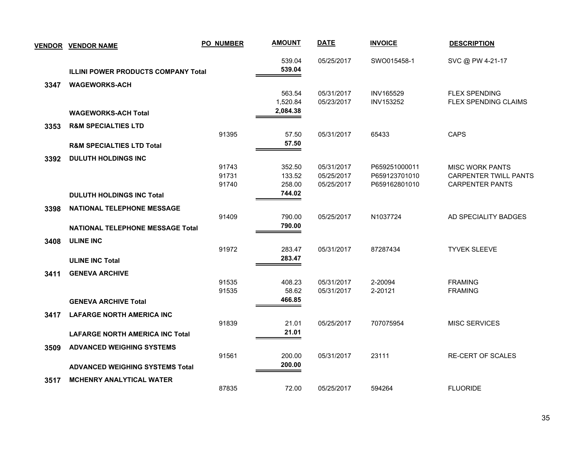| <b>VENDOR</b> | <b>VENDOR NAME</b>                         | <b>PO_NUMBER</b> | <b>AMOUNT</b>    | <b>DATE</b> | <b>INVOICE</b> | <b>DESCRIPTION</b>           |
|---------------|--------------------------------------------|------------------|------------------|-------------|----------------|------------------------------|
|               |                                            |                  | 539.04           | 05/25/2017  | SWO015458-1    | SVC @ PW 4-21-17             |
|               | <b>ILLINI POWER PRODUCTS COMPANY Total</b> |                  | 539.04           |             |                |                              |
| 3347          | <b>WAGEWORKS-ACH</b>                       |                  |                  |             |                |                              |
|               |                                            |                  | 563.54           | 05/31/2017  | INV165529      | <b>FLEX SPENDING</b>         |
|               |                                            |                  | 1,520.84         | 05/23/2017  | INV153252      | FLEX SPENDING CLAIMS         |
|               | <b>WAGEWORKS-ACH Total</b>                 |                  | 2,084.38         |             |                |                              |
| 3353          | <b>R&amp;M SPECIALTIES LTD</b>             |                  |                  |             |                |                              |
|               |                                            | 91395            | 57.50            | 05/31/2017  | 65433          | <b>CAPS</b>                  |
|               | <b>R&amp;M SPECIALTIES LTD Total</b>       |                  | 57.50            |             |                |                              |
| 3392          | <b>DULUTH HOLDINGS INC</b>                 |                  |                  |             |                |                              |
|               |                                            | 91743            | 352.50           | 05/31/2017  | P659251000011  | <b>MISC WORK PANTS</b>       |
|               |                                            | 91731            | 133.52           | 05/25/2017  | P659123701010  | <b>CARPENTER TWILL PANTS</b> |
|               |                                            | 91740            | 258.00           | 05/25/2017  | P659162801010  | <b>CARPENTER PANTS</b>       |
|               | <b>DULUTH HOLDINGS INC Total</b>           |                  | 744.02           |             |                |                              |
| 3398          | <b>NATIONAL TELEPHONE MESSAGE</b>          |                  |                  |             |                |                              |
|               |                                            | 91409            | 790.00           | 05/25/2017  | N1037724       | AD SPECIALITY BADGES         |
|               | <b>NATIONAL TELEPHONE MESSAGE Total</b>    |                  | 790.00           |             |                |                              |
| 3408          | <b>ULINE INC</b>                           |                  |                  |             |                |                              |
|               |                                            | 91972            | 283.47           | 05/31/2017  | 87287434       | <b>TYVEK SLEEVE</b>          |
|               | <b>ULINE INC Total</b>                     |                  | 283.47           |             |                |                              |
|               |                                            |                  |                  |             |                |                              |
| 3411          | <b>GENEVA ARCHIVE</b>                      | 91535            | 408.23           | 05/31/2017  | 2-20094        | <b>FRAMING</b>               |
|               |                                            | 91535            | 58.62            | 05/31/2017  | 2-20121        | <b>FRAMING</b>               |
|               | <b>GENEVA ARCHIVE Total</b>                |                  | 466.85           |             |                |                              |
| 3417          | <b>LAFARGE NORTH AMERICA INC</b>           |                  |                  |             |                |                              |
|               |                                            | 91839            | 21.01            | 05/25/2017  | 707075954      | <b>MISC SERVICES</b>         |
|               | <b>LAFARGE NORTH AMERICA INC Total</b>     |                  | 21.01            |             |                |                              |
|               |                                            |                  |                  |             |                |                              |
| 3509          | <b>ADVANCED WEIGHING SYSTEMS</b>           |                  |                  |             |                |                              |
|               |                                            | 91561            | 200.00<br>200.00 | 05/31/2017  | 23111          | <b>RE-CERT OF SCALES</b>     |
|               | <b>ADVANCED WEIGHING SYSTEMS Total</b>     |                  |                  |             |                |                              |
| 3517          | <b>MCHENRY ANALYTICAL WATER</b>            |                  |                  |             |                |                              |
|               |                                            | 87835            | 72.00            | 05/25/2017  | 594264         | <b>FLUORIDE</b>              |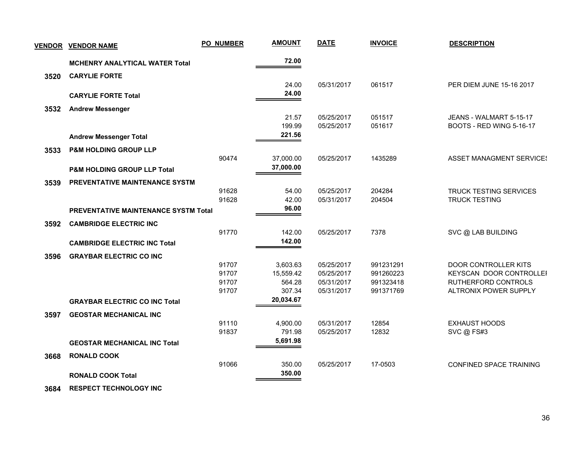| <b>VENDOR</b> | <b>VENDOR NAME</b>                          | PO_NUMBER      | <b>AMOUNT</b>       | <b>DATE</b>              | <b>INVOICE</b>         | <b>DESCRIPTION</b>                                    |
|---------------|---------------------------------------------|----------------|---------------------|--------------------------|------------------------|-------------------------------------------------------|
|               | <b>MCHENRY ANALYTICAL WATER Total</b>       |                | 72.00               |                          |                        |                                                       |
| 3520          | <b>CARYLIE FORTE</b>                        |                |                     |                          |                        |                                                       |
|               | <b>CARYLIE FORTE Total</b>                  |                | 24.00<br>24.00      | 05/31/2017               | 061517                 | PER DIEM JUNE 15-16 2017                              |
| 3532          | <b>Andrew Messenger</b>                     |                |                     |                          |                        |                                                       |
|               |                                             |                | 21.57<br>199.99     | 05/25/2017<br>05/25/2017 | 051517<br>051617       | JEANS - WALMART 5-15-17<br>BOOTS - RED WING 5-16-17   |
|               | <b>Andrew Messenger Total</b>               |                | 221.56              |                          |                        |                                                       |
| 3533          | <b>P&amp;M HOLDING GROUP LLP</b>            |                |                     |                          |                        |                                                       |
|               |                                             | 90474          | 37,000.00           | 05/25/2017               | 1435289                | <b>ASSET MANAGMENT SERVICES</b>                       |
|               | P&M HOLDING GROUP LLP Total                 |                | 37,000.00           |                          |                        |                                                       |
| 3539          | <b>PREVENTATIVE MAINTENANCE SYSTM</b>       |                |                     |                          |                        |                                                       |
|               |                                             | 91628<br>91628 | 54.00<br>42.00      | 05/25/2017<br>05/31/2017 | 204284<br>204504       | <b>TRUCK TESTING SERVICES</b><br><b>TRUCK TESTING</b> |
|               | <b>PREVENTATIVE MAINTENANCE SYSTM Total</b> |                | 96.00               |                          |                        |                                                       |
| 3592          | <b>CAMBRIDGE ELECTRIC INC</b>               |                |                     |                          |                        |                                                       |
|               |                                             | 91770          | 142.00              | 05/25/2017               | 7378                   | SVC @ LAB BUILDING                                    |
|               | <b>CAMBRIDGE ELECTRIC INC Total</b>         |                | 142.00              |                          |                        |                                                       |
| 3596          | <b>GRAYBAR ELECTRIC CO INC</b>              |                |                     |                          |                        |                                                       |
|               |                                             | 91707          | 3,603.63            | 05/25/2017               | 991231291              | DOOR CONTROLLER KITS                                  |
|               |                                             | 91707<br>91707 | 15,559.42<br>564.28 | 05/25/2017<br>05/31/2017 | 991260223<br>991323418 | KEYSCAN DOOR CONTROLLEI<br>RUTHERFORD CONTROLS        |
|               |                                             | 91707          | 307.34              | 05/31/2017               | 991371769              | ALTRONIX POWER SUPPLY                                 |
|               | <b>GRAYBAR ELECTRIC CO INC Total</b>        |                | 20,034.67           |                          |                        |                                                       |
| 3597          | <b>GEOSTAR MECHANICAL INC</b>               |                |                     |                          |                        |                                                       |
|               |                                             | 91110          | 4,900.00            | 05/31/2017               | 12854                  | <b>EXHAUST HOODS</b>                                  |
|               |                                             | 91837          | 791.98              | 05/25/2017               | 12832                  | SVC @ FS#3                                            |
|               | <b>GEOSTAR MECHANICAL INC Total</b>         |                | 5,691.98            |                          |                        |                                                       |
| 3668          | <b>RONALD COOK</b>                          |                |                     |                          |                        |                                                       |
|               |                                             | 91066          | 350.00              | 05/25/2017               | 17-0503                | CONFINED SPACE TRAINING                               |
|               | <b>RONALD COOK Total</b>                    |                | 350.00              |                          |                        |                                                       |

 **3684 RESPECT TECHNOLOGY INC**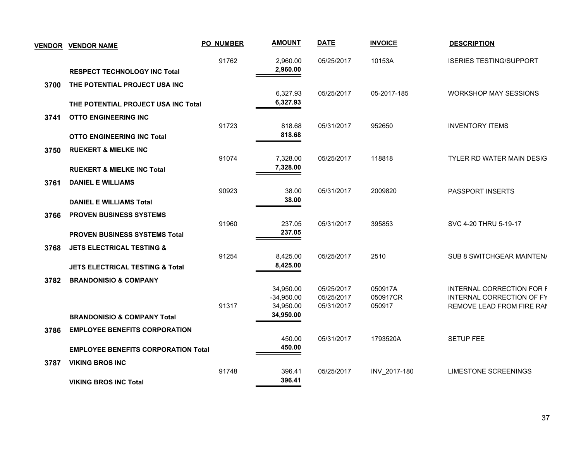|      | <b>VENDOR VENDOR NAME</b>                                                      | <b>PO_NUMBER</b> | <b>AMOUNT</b>             | <b>DATE</b>              | <b>INVOICE</b>      | <b>DESCRIPTION</b>                                            |
|------|--------------------------------------------------------------------------------|------------------|---------------------------|--------------------------|---------------------|---------------------------------------------------------------|
|      | <b>RESPECT TECHNOLOGY INC Total</b>                                            | 91762            | 2,960.00<br>2,960.00      | 05/25/2017               | 10153A              | <b>ISERIES TESTING/SUPPORT</b>                                |
| 3700 | THE POTENTIAL PROJECT USA INC                                                  |                  |                           |                          |                     |                                                               |
|      | THE POTENTIAL PROJECT USA INC Total                                            |                  | 6,327.93<br>6,327.93      | 05/25/2017               | 05-2017-185         | <b>WORKSHOP MAY SESSIONS</b>                                  |
| 3741 | <b>OTTO ENGINEERING INC</b>                                                    | 91723            | 818.68                    | 05/31/2017               | 952650              | <b>INVENTORY ITEMS</b>                                        |
|      | <b>OTTO ENGINEERING INC Total</b>                                              |                  | 818.68                    |                          |                     |                                                               |
| 3750 | <b>RUEKERT &amp; MIELKE INC</b>                                                | 91074            | 7,328.00                  | 05/25/2017               | 118818              | TYLER RD WATER MAIN DESIG                                     |
|      | <b>RUEKERT &amp; MIELKE INC Total</b>                                          |                  | 7,328.00                  |                          |                     |                                                               |
| 3761 | <b>DANIEL E WILLIAMS</b>                                                       | 90923            | 38.00                     | 05/31/2017               | 2009820             | <b>PASSPORT INSERTS</b>                                       |
|      | <b>DANIEL E WILLIAMS Total</b>                                                 |                  | 38.00                     |                          |                     |                                                               |
| 3766 | <b>PROVEN BUSINESS SYSTEMS</b>                                                 | 91960            | 237.05                    | 05/31/2017               | 395853              | SVC 4-20 THRU 5-19-17                                         |
|      | PROVEN BUSINESS SYSTEMS Total                                                  |                  | 237.05                    |                          |                     |                                                               |
| 3768 | <b>JETS ELECTRICAL TESTING &amp;</b>                                           | 91254            | 8,425.00                  | 05/25/2017               | 2510                | SUB 8 SWITCHGEAR MAINTEN/                                     |
| 3782 | <b>JETS ELECTRICAL TESTING &amp; Total</b><br><b>BRANDONISIO &amp; COMPANY</b> |                  | 8,425.00                  |                          |                     |                                                               |
|      |                                                                                |                  | 34,950.00<br>$-34,950.00$ | 05/25/2017<br>05/25/2017 | 050917A<br>050917CR | <b>INTERNAL CORRECTION FOR F</b><br>INTERNAL CORRECTION OF FY |
|      | <b>BRANDONISIO &amp; COMPANY Total</b>                                         | 91317            | 34,950.00<br>34,950.00    | 05/31/2017               | 050917              | REMOVE LEAD FROM FIRE RAN                                     |
| 3786 | <b>EMPLOYEE BENEFITS CORPORATION</b>                                           |                  |                           |                          |                     |                                                               |
|      | <b>EMPLOYEE BENEFITS CORPORATION Total</b>                                     |                  | 450.00<br>450.00          | 05/31/2017               | 1793520A            | <b>SETUP FEE</b>                                              |
| 3787 | <b>VIKING BROS INC</b>                                                         | 91748            | 396.41                    | 05/25/2017               | INV_2017-180        | <b>LIMESTONE SCREENINGS</b>                                   |
|      | <b>VIKING BROS INC Total</b>                                                   |                  | 396.41                    |                          |                     |                                                               |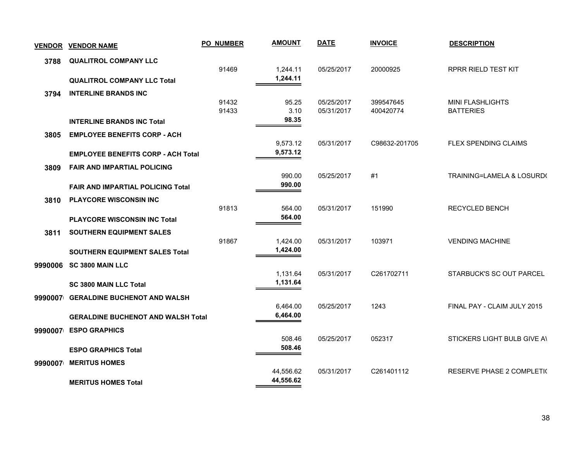| <b>VENDOR</b> | <b>VENDOR NAME</b>                        | <b>PO NUMBER</b> | <b>AMOUNT</b>        | <b>DATE</b> | <b>INVOICE</b> | <b>DESCRIPTION</b>          |
|---------------|-------------------------------------------|------------------|----------------------|-------------|----------------|-----------------------------|
| 3788          | <b>QUALITROL COMPANY LLC</b>              |                  |                      |             |                |                             |
|               |                                           | 91469            | 1,244.11             | 05/25/2017  | 20000925       | <b>RPRR RIELD TEST KIT</b>  |
|               | <b>QUALITROL COMPANY LLC Total</b>        |                  | 1,244.11             |             |                |                             |
| 3794          | <b>INTERLINE BRANDS INC</b>               | 91432            |                      | 05/25/2017  | 399547645      | <b>MINI FLASHLIGHTS</b>     |
|               |                                           | 91433            | 95.25<br>3.10        | 05/31/2017  | 400420774      | <b>BATTERIES</b>            |
|               | <b>INTERLINE BRANDS INC Total</b>         |                  | 98.35                |             |                |                             |
| 3805          | <b>EMPLOYEE BENEFITS CORP - ACH</b>       |                  |                      |             |                |                             |
|               |                                           |                  | 9,573.12             | 05/31/2017  | C98632-201705  | FLEX SPENDING CLAIMS        |
|               | <b>EMPLOYEE BENEFITS CORP - ACH Total</b> |                  | 9,573.12             |             |                |                             |
| 3809          | <b>FAIR AND IMPARTIAL POLICING</b>        |                  |                      |             |                |                             |
|               |                                           |                  | 990.00<br>990.00     | 05/25/2017  | #1             | TRAINING=LAMELA & LOSURD(   |
|               | <b>FAIR AND IMPARTIAL POLICING Total</b>  |                  |                      |             |                |                             |
| 3810          | <b>PLAYCORE WISCONSIN INC</b>             | 91813            | 564.00               | 05/31/2017  | 151990         | RECYCLED BENCH              |
|               | PLAYCORE WISCONSIN INC Total              |                  | 564.00               |             |                |                             |
| 3811          | SOUTHERN EQUIPMENT SALES                  |                  |                      |             |                |                             |
|               |                                           | 91867            | 1,424.00             | 05/31/2017  | 103971         | <b>VENDING MACHINE</b>      |
|               | <b>SOUTHERN EQUIPMENT SALES Total</b>     |                  | 1,424.00             |             |                |                             |
| 9990006       | <b>SC 3800 MAIN LLC</b>                   |                  |                      |             |                |                             |
|               |                                           |                  | 1,131.64             | 05/31/2017  | C261702711     | STARBUCK'S SC OUT PARCEL    |
|               | <b>SC 3800 MAIN LLC Total</b>             |                  | 1,131.64             |             |                |                             |
|               | 9990007 GERALDINE BUCHENOT AND WALSH      |                  |                      |             |                |                             |
|               |                                           |                  | 6,464.00<br>6,464.00 | 05/25/2017  | 1243           | FINAL PAY - CLAIM JULY 2015 |
|               | <b>GERALDINE BUCHENOT AND WALSH Total</b> |                  |                      |             |                |                             |
| 9990007       | <b>ESPO GRAPHICS</b>                      |                  | 508.46               | 05/25/2017  | 052317         | STICKERS LIGHT BULB GIVE AI |
|               | <b>ESPO GRAPHICS Total</b>                |                  | 508.46               |             |                |                             |
| 9990007       | <b>MERITUS HOMES</b>                      |                  |                      |             |                |                             |
|               |                                           |                  | 44,556.62            | 05/31/2017  | C261401112     | RESERVE PHASE 2 COMPLETI(   |
|               | <b>MERITUS HOMES Total</b>                |                  | 44,556.62            |             |                |                             |